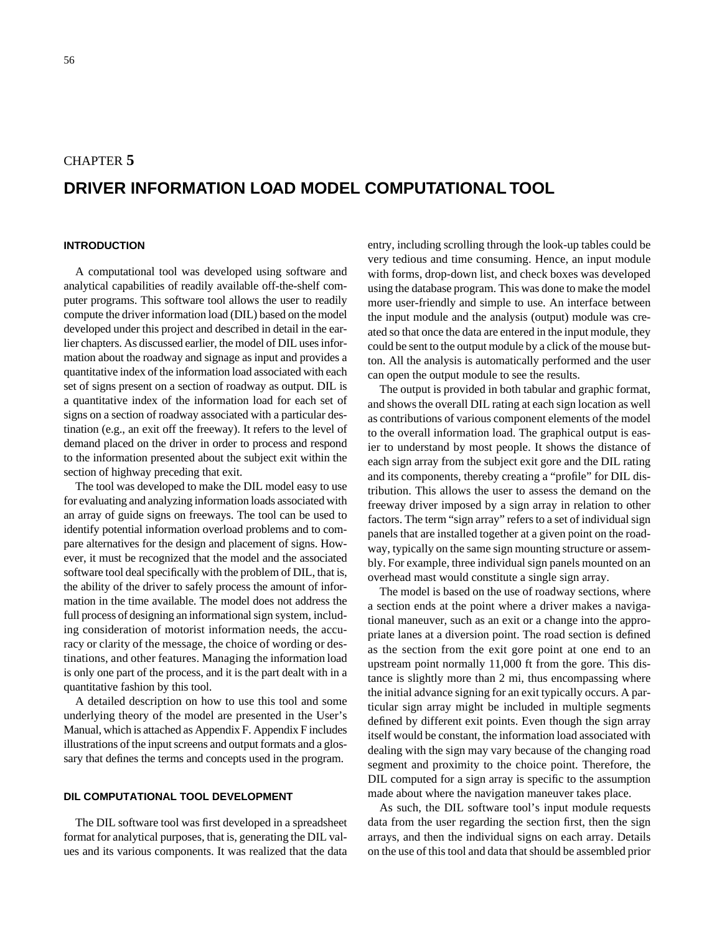### CHAPTER **5**

# **DRIVER INFORMATION LOAD MODEL COMPUTATIONAL TOOL**

#### **INTRODUCTION**

A computational tool was developed using software and analytical capabilities of readily available off-the-shelf computer programs. This software tool allows the user to readily compute the driver information load (DIL) based on the model developed under this project and described in detail in the earlier chapters. As discussed earlier, the model of DIL uses information about the roadway and signage as input and provides a quantitative index of the information load associated with each set of signs present on a section of roadway as output. DIL is a quantitative index of the information load for each set of signs on a section of roadway associated with a particular destination (e.g., an exit off the freeway). It refers to the level of demand placed on the driver in order to process and respond to the information presented about the subject exit within the section of highway preceding that exit.

The tool was developed to make the DIL model easy to use for evaluating and analyzing information loads associated with an array of guide signs on freeways. The tool can be used to identify potential information overload problems and to compare alternatives for the design and placement of signs. However, it must be recognized that the model and the associated software tool deal specifically with the problem of DIL, that is, the ability of the driver to safely process the amount of information in the time available. The model does not address the full process of designing an informational sign system, including consideration of motorist information needs, the accuracy or clarity of the message, the choice of wording or destinations, and other features. Managing the information load is only one part of the process, and it is the part dealt with in a quantitative fashion by this tool.

A detailed description on how to use this tool and some underlying theory of the model are presented in the User's Manual, which is attached as Appendix F. Appendix F includes illustrations of the input screens and output formats and a glossary that defines the terms and concepts used in the program.

### **DIL COMPUTATIONAL TOOL DEVELOPMENT**

The DIL software tool was first developed in a spreadsheet format for analytical purposes, that is, generating the DIL values and its various components. It was realized that the data entry, including scrolling through the look-up tables could be very tedious and time consuming. Hence, an input module with forms, drop-down list, and check boxes was developed using the database program. This was done to make the model more user-friendly and simple to use. An interface between the input module and the analysis (output) module was created so that once the data are entered in the input module, they could be sent to the output module by a click of the mouse button. All the analysis is automatically performed and the user can open the output module to see the results.

The output is provided in both tabular and graphic format, and shows the overall DIL rating at each sign location as well as contributions of various component elements of the model to the overall information load. The graphical output is easier to understand by most people. It shows the distance of each sign array from the subject exit gore and the DIL rating and its components, thereby creating a "profile" for DIL distribution. This allows the user to assess the demand on the freeway driver imposed by a sign array in relation to other factors. The term "sign array" refers to a set of individual sign panels that are installed together at a given point on the roadway, typically on the same sign mounting structure or assembly. For example, three individual sign panels mounted on an overhead mast would constitute a single sign array.

The model is based on the use of roadway sections, where a section ends at the point where a driver makes a navigational maneuver, such as an exit or a change into the appropriate lanes at a diversion point. The road section is defined as the section from the exit gore point at one end to an upstream point normally 11,000 ft from the gore. This distance is slightly more than 2 mi, thus encompassing where the initial advance signing for an exit typically occurs. A particular sign array might be included in multiple segments defined by different exit points. Even though the sign array itself would be constant, the information load associated with dealing with the sign may vary because of the changing road segment and proximity to the choice point. Therefore, the DIL computed for a sign array is specific to the assumption made about where the navigation maneuver takes place.

As such, the DIL software tool's input module requests data from the user regarding the section first, then the sign arrays, and then the individual signs on each array. Details on the use of this tool and data that should be assembled prior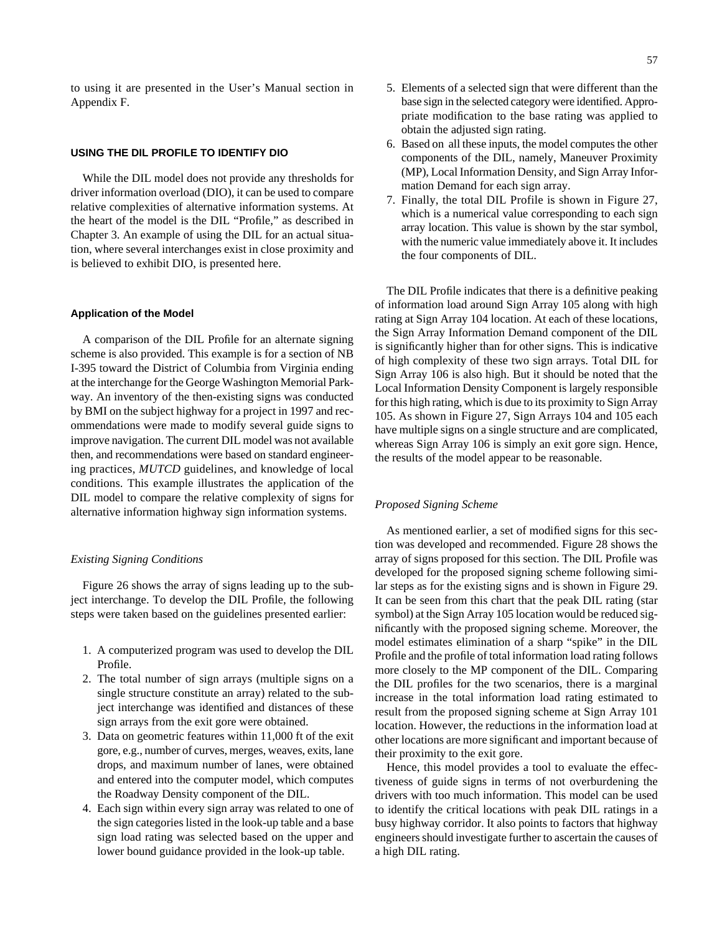to using it are presented in the User's Manual section in Appendix F.

#### **USING THE DIL PROFILE TO IDENTIFY DIO**

While the DIL model does not provide any thresholds for driver information overload (DIO), it can be used to compare relative complexities of alternative information systems. At the heart of the model is the DIL "Profile," as described in Chapter 3. An example of using the DIL for an actual situation, where several interchanges exist in close proximity and is believed to exhibit DIO, is presented here.

#### **Application of the Model**

A comparison of the DIL Profile for an alternate signing scheme is also provided. This example is for a section of NB I-395 toward the District of Columbia from Virginia ending at the interchange for the George Washington Memorial Parkway. An inventory of the then-existing signs was conducted by BMI on the subject highway for a project in 1997 and recommendations were made to modify several guide signs to improve navigation. The current DIL model was not available then, and recommendations were based on standard engineering practices, *MUTCD* guidelines, and knowledge of local conditions. This example illustrates the application of the DIL model to compare the relative complexity of signs for alternative information highway sign information systems.

#### *Existing Signing Conditions*

Figure 26 shows the array of signs leading up to the subject interchange. To develop the DIL Profile, the following steps were taken based on the guidelines presented earlier:

- 1. A computerized program was used to develop the DIL Profile.
- 2. The total number of sign arrays (multiple signs on a single structure constitute an array) related to the subject interchange was identified and distances of these sign arrays from the exit gore were obtained.
- 3. Data on geometric features within 11,000 ft of the exit gore, e.g., number of curves, merges, weaves, exits, lane drops, and maximum number of lanes, were obtained and entered into the computer model, which computes the Roadway Density component of the DIL.
- 4. Each sign within every sign array was related to one of the sign categories listed in the look-up table and a base sign load rating was selected based on the upper and lower bound guidance provided in the look-up table.
- 5. Elements of a selected sign that were different than the base sign in the selected category were identified. Appropriate modification to the base rating was applied to obtain the adjusted sign rating.
- 6. Based on all these inputs, the model computes the other components of the DIL, namely, Maneuver Proximity (MP), Local Information Density, and Sign Array Information Demand for each sign array.
- 7. Finally, the total DIL Profile is shown in Figure 27, which is a numerical value corresponding to each sign array location. This value is shown by the star symbol, with the numeric value immediately above it. It includes the four components of DIL.

The DIL Profile indicates that there is a definitive peaking of information load around Sign Array 105 along with high rating at Sign Array 104 location. At each of these locations, the Sign Array Information Demand component of the DIL is significantly higher than for other signs. This is indicative of high complexity of these two sign arrays. Total DIL for Sign Array 106 is also high. But it should be noted that the Local Information Density Component is largely responsible for this high rating, which is due to its proximity to Sign Array 105. As shown in Figure 27, Sign Arrays 104 and 105 each have multiple signs on a single structure and are complicated, whereas Sign Array 106 is simply an exit gore sign. Hence, the results of the model appear to be reasonable.

#### *Proposed Signing Scheme*

As mentioned earlier, a set of modified signs for this section was developed and recommended. Figure 28 shows the array of signs proposed for this section. The DIL Profile was developed for the proposed signing scheme following similar steps as for the existing signs and is shown in Figure 29. It can be seen from this chart that the peak DIL rating (star symbol) at the Sign Array 105 location would be reduced significantly with the proposed signing scheme. Moreover, the model estimates elimination of a sharp "spike" in the DIL Profile and the profile of total information load rating follows more closely to the MP component of the DIL. Comparing the DIL profiles for the two scenarios, there is a marginal increase in the total information load rating estimated to result from the proposed signing scheme at Sign Array 101 location. However, the reductions in the information load at other locations are more significant and important because of their proximity to the exit gore.

Hence, this model provides a tool to evaluate the effectiveness of guide signs in terms of not overburdening the drivers with too much information. This model can be used to identify the critical locations with peak DIL ratings in a busy highway corridor. It also points to factors that highway engineers should investigate further to ascertain the causes of a high DIL rating.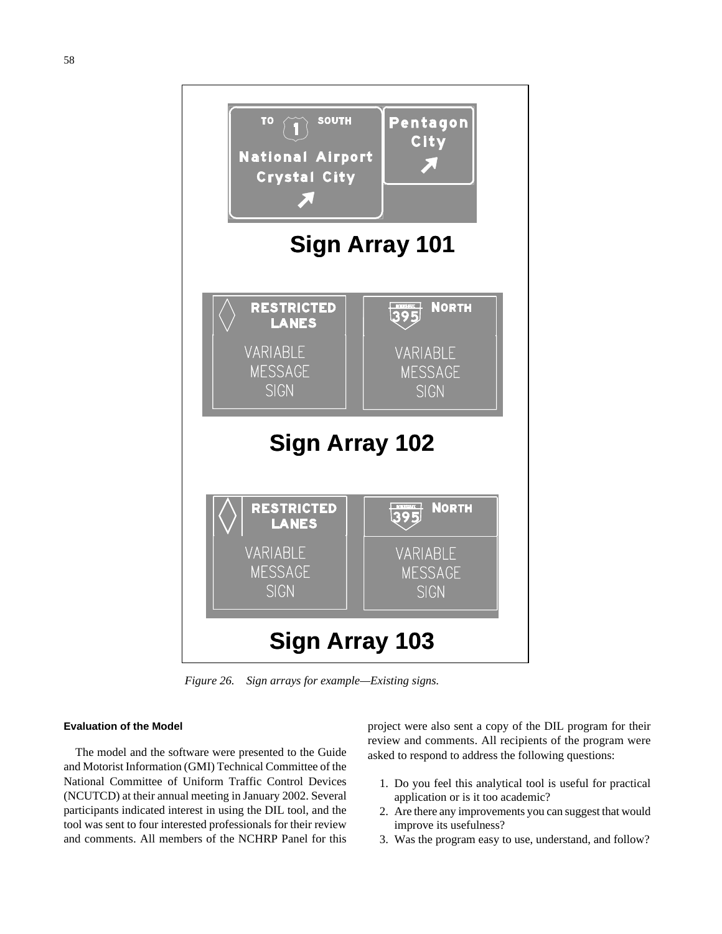

# **Evaluation of the Model**

The model and the software were presented to the Guide and Motorist Information (GMI) Technical Committee of the National Committee of Uniform Traffic Control Devices (NCUTCD) at their annual meeting in January 2002. Several participants indicated interest in using the DIL tool, and the tool was sent to four interested professionals for their review and comments. All members of the NCHRP Panel for this

project were also sent a copy of the DIL program for their review and comments. All recipients of the program were asked to respond to address the following questions:

- 1. Do you feel this analytical tool is useful for practical application or is it too academic?
- 2. Are there any improvements you can suggest that would improve its usefulness?
- 3. Was the program easy to use, understand, and follow?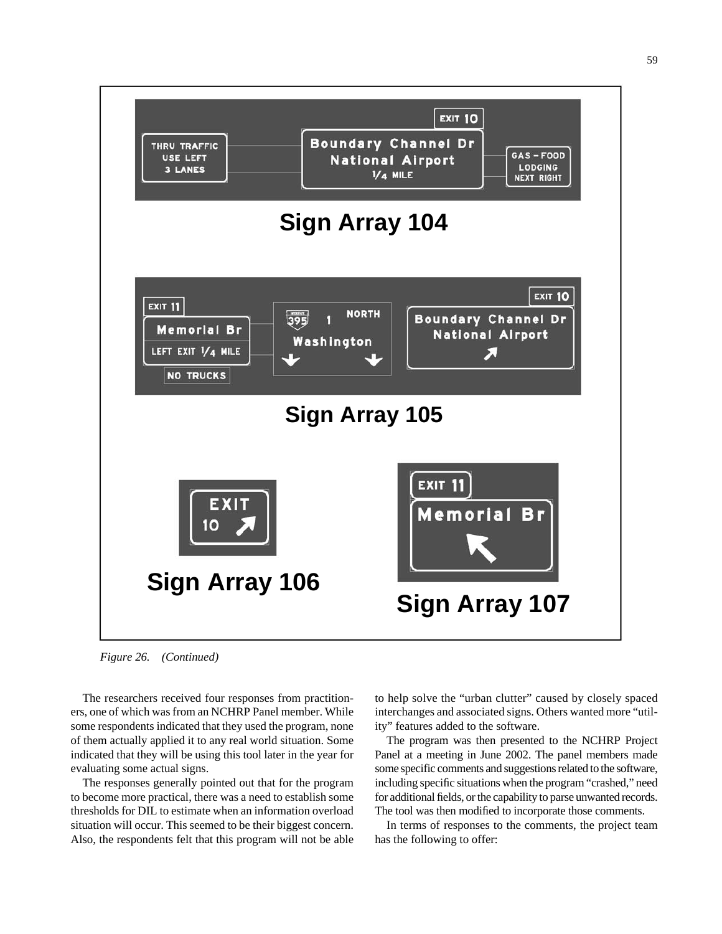

*Figure 26. (Continued)*

The researchers received four responses from practitioners, one of which was from an NCHRP Panel member. While some respondents indicated that they used the program, none of them actually applied it to any real world situation. Some indicated that they will be using this tool later in the year for evaluating some actual signs.

The responses generally pointed out that for the program to become more practical, there was a need to establish some thresholds for DIL to estimate when an information overload situation will occur. This seemed to be their biggest concern. Also, the respondents felt that this program will not be able

to help solve the "urban clutter" caused by closely spaced interchanges and associated signs. Others wanted more "utility" features added to the software.

The program was then presented to the NCHRP Project Panel at a meeting in June 2002. The panel members made some specific comments and suggestions related to the software, including specific situations when the program "crashed," need for additional fields, or the capability to parse unwanted records. The tool was then modified to incorporate those comments.

In terms of responses to the comments, the project team has the following to offer: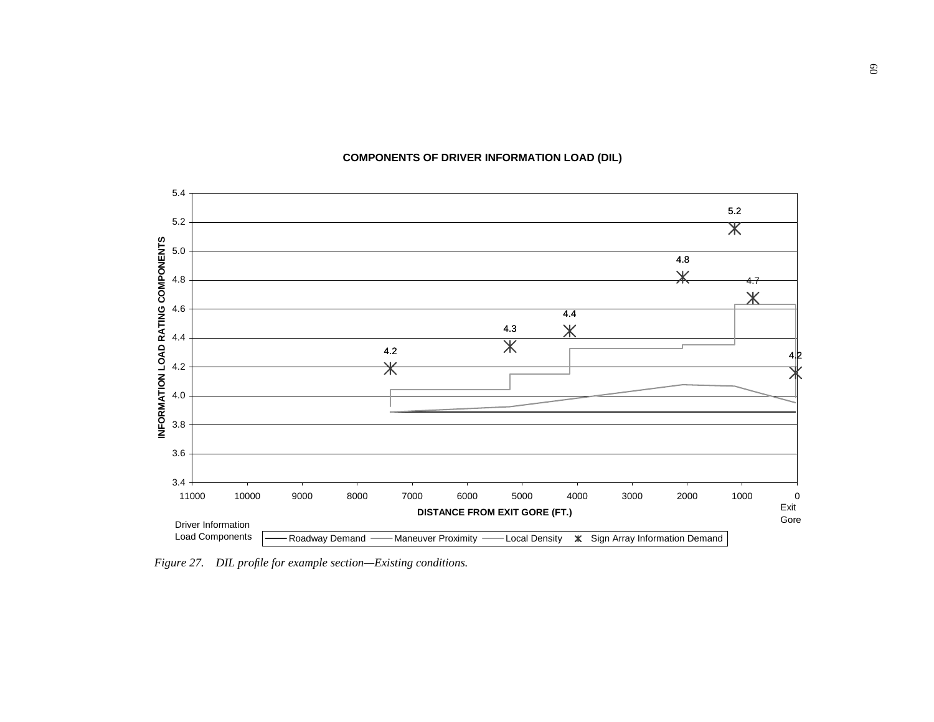## **COMPONENTS OF DRIVER INFORMATION LOAD (DIL)**



*Figure 27. DIL profile for example section—Existing conditions.*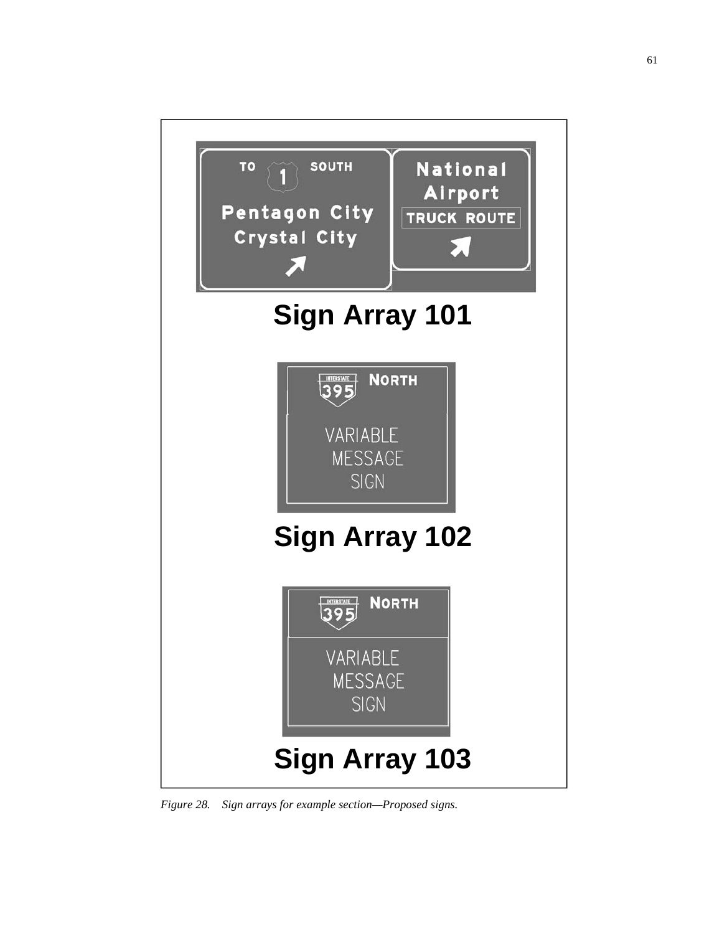

*Figure 28. Sign arrays for example section—Proposed signs.*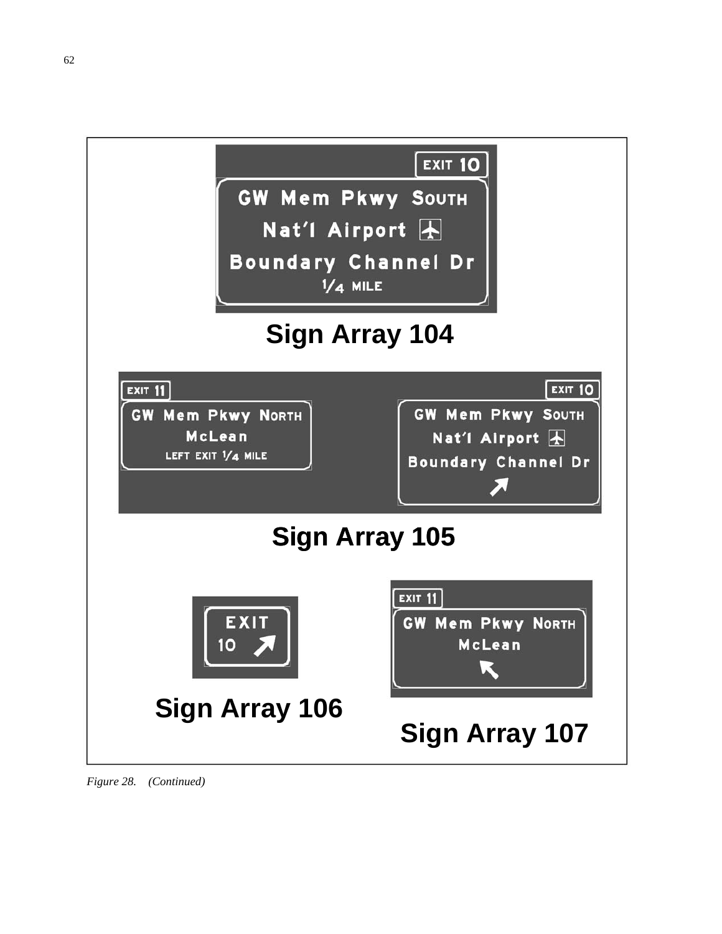

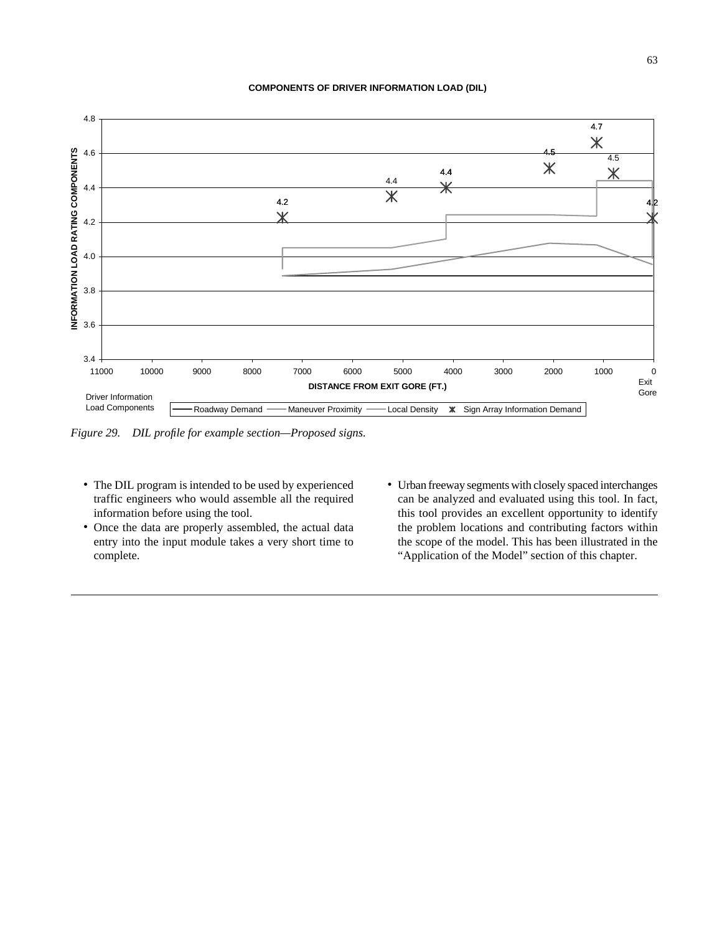#### **COMPONENTS OF DRIVER INFORMATION LOAD (DIL)**



*Figure 29. DIL profile for example section—Proposed signs.*

- The DIL program is intended to be used by experienced traffic engineers who would assemble all the required information before using the tool.
- Once the data are properly assembled, the actual data entry into the input module takes a very short time to complete.
- Urban freeway segments with closely spaced interchanges can be analyzed and evaluated using this tool. In fact, this tool provides an excellent opportunity to identify the problem locations and contributing factors within the scope of the model. This has been illustrated in the "Application of the Model" section of this chapter.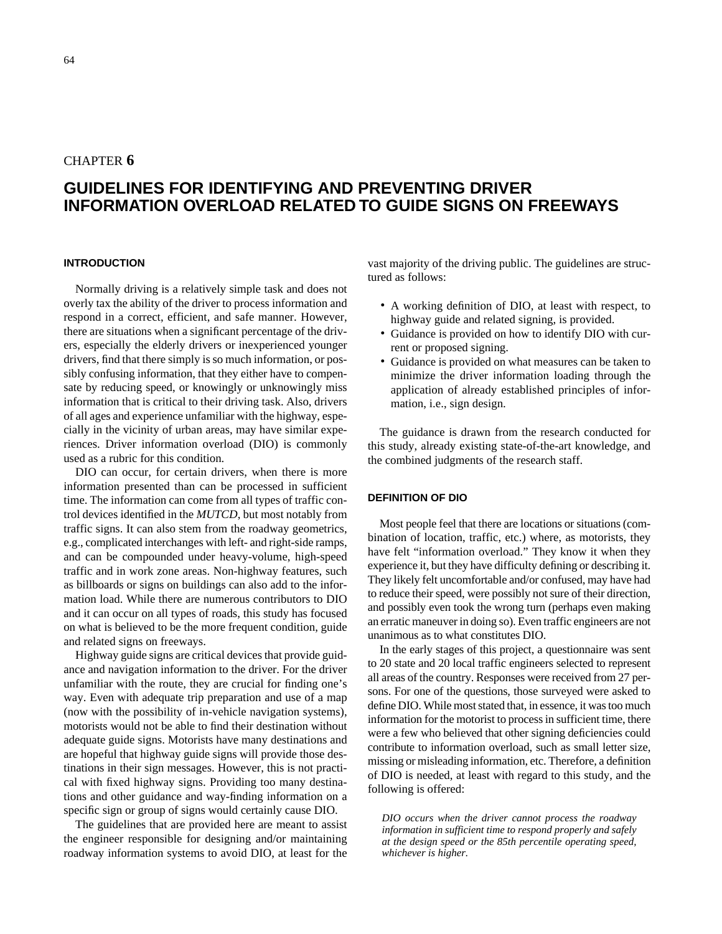## CHAPTER **6**

# **GUIDELINES FOR IDENTIFYING AND PREVENTING DRIVER INFORMATION OVERLOAD RELATED TO GUIDE SIGNS ON FREEWAYS**

#### **INTRODUCTION**

Normally driving is a relatively simple task and does not overly tax the ability of the driver to process information and respond in a correct, efficient, and safe manner. However, there are situations when a significant percentage of the drivers, especially the elderly drivers or inexperienced younger drivers, find that there simply is so much information, or possibly confusing information, that they either have to compensate by reducing speed, or knowingly or unknowingly miss information that is critical to their driving task. Also, drivers of all ages and experience unfamiliar with the highway, especially in the vicinity of urban areas, may have similar experiences. Driver information overload (DIO) is commonly used as a rubric for this condition.

DIO can occur, for certain drivers, when there is more information presented than can be processed in sufficient time. The information can come from all types of traffic control devices identified in the *MUTCD*, but most notably from traffic signs. It can also stem from the roadway geometrics, e.g., complicated interchanges with left- and right-side ramps, and can be compounded under heavy-volume, high-speed traffic and in work zone areas. Non-highway features, such as billboards or signs on buildings can also add to the information load. While there are numerous contributors to DIO and it can occur on all types of roads, this study has focused on what is believed to be the more frequent condition, guide and related signs on freeways.

Highway guide signs are critical devices that provide guidance and navigation information to the driver. For the driver unfamiliar with the route, they are crucial for finding one's way. Even with adequate trip preparation and use of a map (now with the possibility of in-vehicle navigation systems), motorists would not be able to find their destination without adequate guide signs. Motorists have many destinations and are hopeful that highway guide signs will provide those destinations in their sign messages. However, this is not practical with fixed highway signs. Providing too many destinations and other guidance and way-finding information on a specific sign or group of signs would certainly cause DIO.

The guidelines that are provided here are meant to assist the engineer responsible for designing and/or maintaining roadway information systems to avoid DIO, at least for the vast majority of the driving public. The guidelines are structured as follows:

- A working definition of DIO, at least with respect, to highway guide and related signing, is provided.
- Guidance is provided on how to identify DIO with current or proposed signing.
- Guidance is provided on what measures can be taken to minimize the driver information loading through the application of already established principles of information, i.e., sign design.

The guidance is drawn from the research conducted for this study, already existing state-of-the-art knowledge, and the combined judgments of the research staff.

#### **DEFINITION OF DIO**

Most people feel that there are locations or situations (combination of location, traffic, etc.) where, as motorists, they have felt "information overload." They know it when they experience it, but they have difficulty defining or describing it. They likely felt uncomfortable and/or confused, may have had to reduce their speed, were possibly not sure of their direction, and possibly even took the wrong turn (perhaps even making an erratic maneuver in doing so). Even traffic engineers are not unanimous as to what constitutes DIO.

In the early stages of this project, a questionnaire was sent to 20 state and 20 local traffic engineers selected to represent all areas of the country. Responses were received from 27 persons. For one of the questions, those surveyed were asked to define DIO. While most stated that, in essence, it was too much information for the motorist to process in sufficient time, there were a few who believed that other signing deficiencies could contribute to information overload, such as small letter size, missing or misleading information, etc. Therefore, a definition of DIO is needed, at least with regard to this study, and the following is offered:

*DIO occurs when the driver cannot process the roadway information in sufficient time to respond properly and safely at the design speed or the 85th percentile operating speed, whichever is higher.*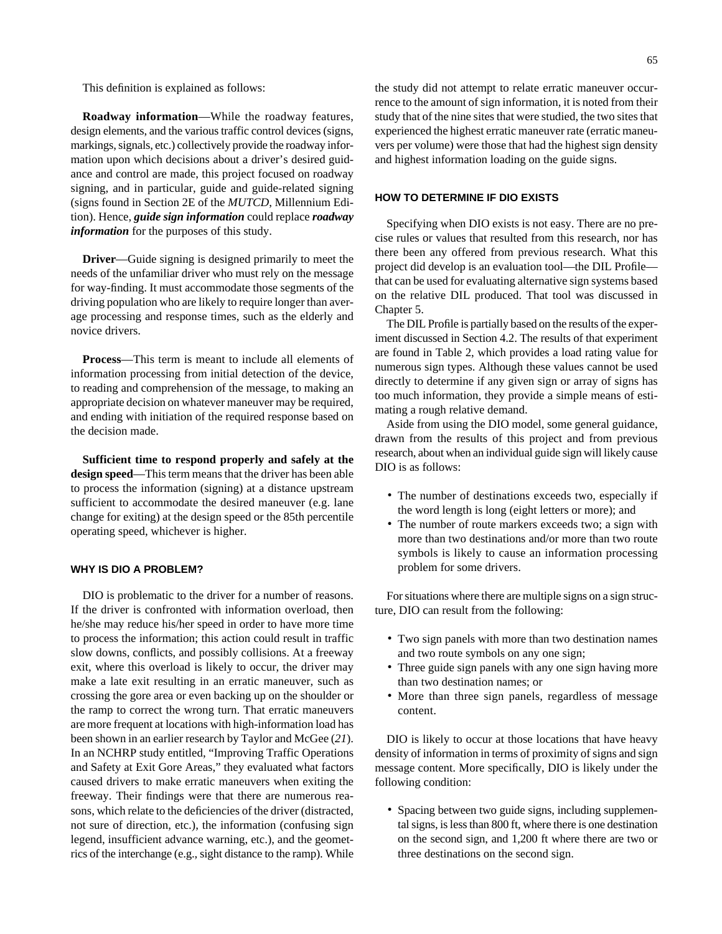This definition is explained as follows:

**Roadway information**—While the roadway features, design elements, and the various traffic control devices (signs, markings, signals, etc.) collectively provide the roadway information upon which decisions about a driver's desired guidance and control are made, this project focused on roadway signing, and in particular, guide and guide-related signing (signs found in Section 2E of the *MUTCD*, Millennium Edition). Hence, *guide sign information* could replace *roadway information* for the purposes of this study.

**Driver**—Guide signing is designed primarily to meet the needs of the unfamiliar driver who must rely on the message for way-finding. It must accommodate those segments of the driving population who are likely to require longer than average processing and response times, such as the elderly and novice drivers.

**Process**—This term is meant to include all elements of information processing from initial detection of the device, to reading and comprehension of the message, to making an appropriate decision on whatever maneuver may be required, and ending with initiation of the required response based on the decision made.

**Sufficient time to respond properly and safely at the design speed**—This term means that the driver has been able to process the information (signing) at a distance upstream sufficient to accommodate the desired maneuver (e.g. lane change for exiting) at the design speed or the 85th percentile operating speed, whichever is higher.

#### **WHY IS DIO A PROBLEM?**

DIO is problematic to the driver for a number of reasons. If the driver is confronted with information overload, then he/she may reduce his/her speed in order to have more time to process the information; this action could result in traffic slow downs, conflicts, and possibly collisions. At a freeway exit, where this overload is likely to occur, the driver may make a late exit resulting in an erratic maneuver, such as crossing the gore area or even backing up on the shoulder or the ramp to correct the wrong turn. That erratic maneuvers are more frequent at locations with high-information load has been shown in an earlier research by Taylor and McGee (*21*). In an NCHRP study entitled, "Improving Traffic Operations and Safety at Exit Gore Areas," they evaluated what factors caused drivers to make erratic maneuvers when exiting the freeway. Their findings were that there are numerous reasons, which relate to the deficiencies of the driver (distracted, not sure of direction, etc.), the information (confusing sign legend, insufficient advance warning, etc.), and the geometrics of the interchange (e.g., sight distance to the ramp). While the study did not attempt to relate erratic maneuver occurrence to the amount of sign information, it is noted from their study that of the nine sites that were studied, the two sites that experienced the highest erratic maneuver rate (erratic maneuvers per volume) were those that had the highest sign density and highest information loading on the guide signs.

### **HOW TO DETERMINE IF DIO EXISTS**

Specifying when DIO exists is not easy. There are no precise rules or values that resulted from this research, nor has there been any offered from previous research. What this project did develop is an evaluation tool—the DIL Profile that can be used for evaluating alternative sign systems based on the relative DIL produced. That tool was discussed in Chapter 5.

The DIL Profile is partially based on the results of the experiment discussed in Section 4.2. The results of that experiment are found in Table 2, which provides a load rating value for numerous sign types. Although these values cannot be used directly to determine if any given sign or array of signs has too much information, they provide a simple means of estimating a rough relative demand.

Aside from using the DIO model, some general guidance, drawn from the results of this project and from previous research, about when an individual guide sign will likely cause DIO is as follows:

- The number of destinations exceeds two, especially if the word length is long (eight letters or more); and
- The number of route markers exceeds two; a sign with more than two destinations and/or more than two route symbols is likely to cause an information processing problem for some drivers.

For situations where there are multiple signs on a sign structure, DIO can result from the following:

- Two sign panels with more than two destination names and two route symbols on any one sign;
- Three guide sign panels with any one sign having more than two destination names; or
- More than three sign panels, regardless of message content.

DIO is likely to occur at those locations that have heavy density of information in terms of proximity of signs and sign message content. More specifically, DIO is likely under the following condition:

• Spacing between two guide signs, including supplemental signs, is less than 800 ft, where there is one destination on the second sign, and 1,200 ft where there are two or three destinations on the second sign.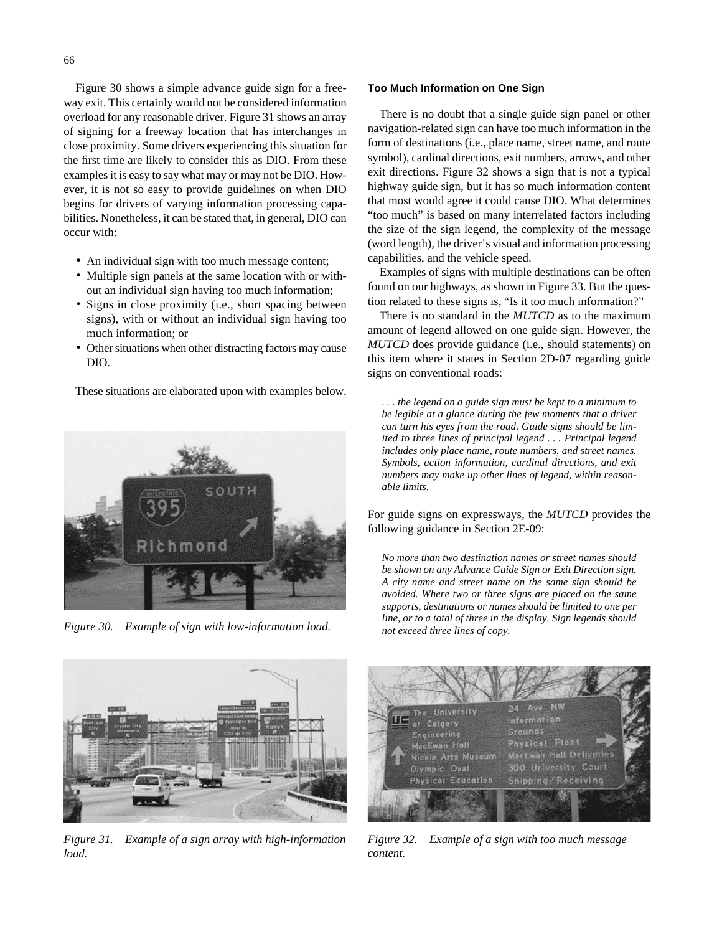Figure 30 shows a simple advance guide sign for a freeway exit. This certainly would not be considered information overload for any reasonable driver. Figure 31 shows an array of signing for a freeway location that has interchanges in close proximity. Some drivers experiencing this situation for the first time are likely to consider this as DIO. From these examples it is easy to say what may or may not be DIO. However, it is not so easy to provide guidelines on when DIO begins for drivers of varying information processing capabilities. Nonetheless, it can be stated that, in general, DIO can occur with:

- An individual sign with too much message content;
- Multiple sign panels at the same location with or without an individual sign having too much information;
- Signs in close proximity (i.e., short spacing between signs), with or without an individual sign having too much information; or
- Other situations when other distracting factors may cause DIO.

These situations are elaborated upon with examples below.





*Figure 31. Example of a sign array with high-information load.*

#### **Too Much Information on One Sign**

There is no doubt that a single guide sign panel or other navigation-related sign can have too much information in the form of destinations (i.e., place name, street name, and route symbol), cardinal directions, exit numbers, arrows, and other exit directions. Figure 32 shows a sign that is not a typical highway guide sign, but it has so much information content that most would agree it could cause DIO. What determines "too much" is based on many interrelated factors including the size of the sign legend, the complexity of the message (word length), the driver's visual and information processing capabilities, and the vehicle speed.

Examples of signs with multiple destinations can be often found on our highways, as shown in Figure 33. But the question related to these signs is, "Is it too much information?"

There is no standard in the *MUTCD* as to the maximum amount of legend allowed on one guide sign. However, the *MUTCD* does provide guidance (i.e., should statements) on this item where it states in Section 2D-07 regarding guide signs on conventional roads:

*. . . the legend on a guide sign must be kept to a minimum to be legible at a glance during the few moments that a driver can turn his eyes from the road. Guide signs should be limited to three lines of principal legend . . . Principal legend includes only place name, route numbers, and street names. Symbols, action information, cardinal directions, and exit numbers may make up other lines of legend, within reasonable limits.*

For guide signs on expressways, the *MUTCD* provides the following guidance in Section 2E-09:

*No more than two destination names or street names should be shown on any Advance Guide Sign or Exit Direction sign. A city name and street name on the same sign should be avoided. Where two or three signs are placed on the same supports, destinations or names should be limited to one per line, or to a total of three in the display. Sign legends should Figure 30. Example of sign with low-information load. not exceed three lines of copy.*



*Figure 32. Example of a sign with too much message content.*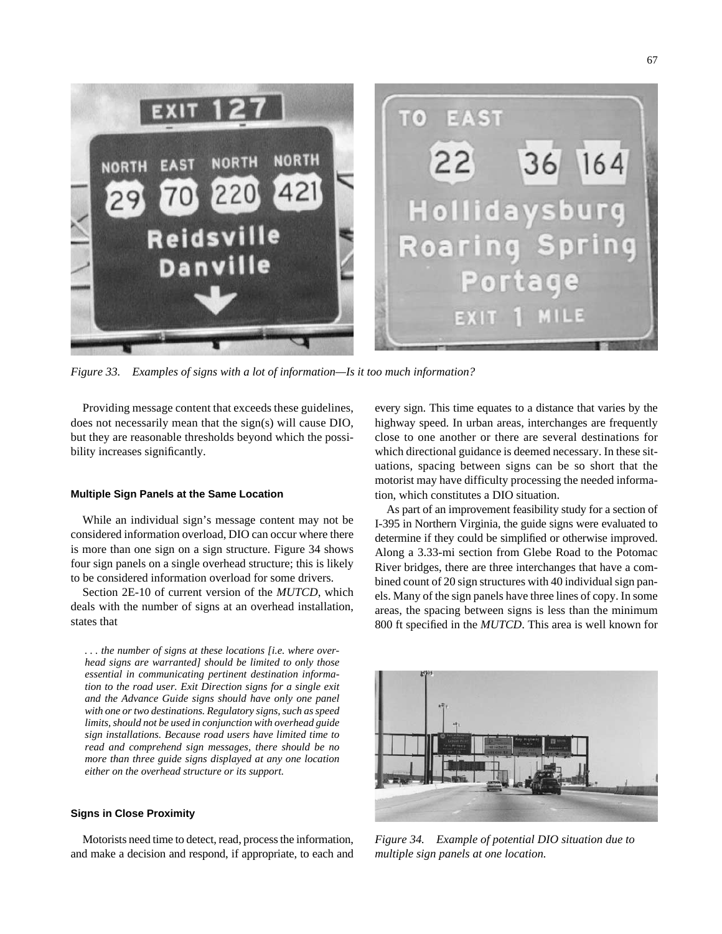

*Figure 33. Examples of signs with a lot of information—Is it too much information?*

Providing message content that exceeds these guidelines, does not necessarily mean that the sign(s) will cause DIO, but they are reasonable thresholds beyond which the possibility increases significantly.

#### **Multiple Sign Panels at the Same Location**

While an individual sign's message content may not be considered information overload, DIO can occur where there is more than one sign on a sign structure. Figure 34 shows four sign panels on a single overhead structure; this is likely to be considered information overload for some drivers.

Section 2E-10 of current version of the *MUTCD*, which deals with the number of signs at an overhead installation, states that

*. . . the number of signs at these locations [i.e. where overhead signs are warranted] should be limited to only those essential in communicating pertinent destination information to the road user. Exit Direction signs for a single exit and the Advance Guide signs should have only one panel with one or two destinations. Regulatory signs, such as speed limits, should not be used in conjunction with overhead guide sign installations. Because road users have limited time to read and comprehend sign messages, there should be no more than three guide signs displayed at any one location either on the overhead structure or its support.*

#### **Signs in Close Proximity**

Motorists need time to detect, read, process the information, and make a decision and respond, if appropriate, to each and every sign. This time equates to a distance that varies by the highway speed. In urban areas, interchanges are frequently close to one another or there are several destinations for which directional guidance is deemed necessary. In these situations, spacing between signs can be so short that the motorist may have difficulty processing the needed information, which constitutes a DIO situation.

As part of an improvement feasibility study for a section of I-395 in Northern Virginia, the guide signs were evaluated to determine if they could be simplified or otherwise improved. Along a 3.33-mi section from Glebe Road to the Potomac River bridges, there are three interchanges that have a combined count of 20 sign structures with 40 individual sign panels. Many of the sign panels have three lines of copy. In some areas, the spacing between signs is less than the minimum 800 ft specified in the *MUTCD*. This area is well known for



*Figure 34. Example of potential DIO situation due to multiple sign panels at one location.*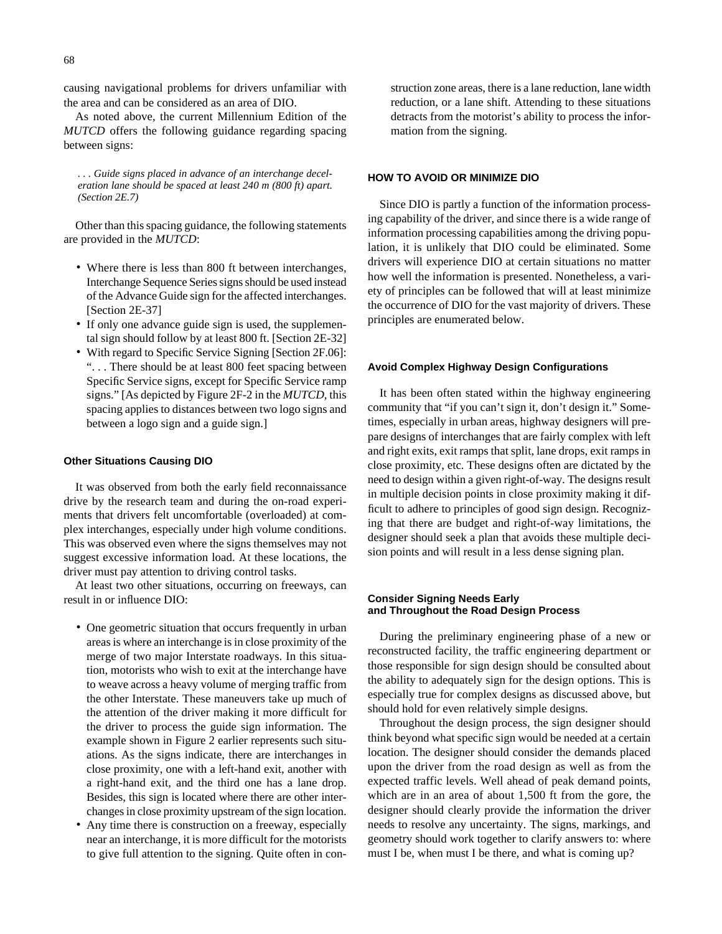causing navigational problems for drivers unfamiliar with the area and can be considered as an area of DIO.

As noted above, the current Millennium Edition of the *MUTCD* offers the following guidance regarding spacing between signs:

*. . . Guide signs placed in advance of an interchange deceleration lane should be spaced at least 240 m (800 ft) apart. (Section 2E.7)*

Other than this spacing guidance, the following statements are provided in the *MUTCD*:

- Where there is less than 800 ft between interchanges, Interchange Sequence Series signs should be used instead of the Advance Guide sign for the affected interchanges. [Section 2E-37]
- If only one advance guide sign is used, the supplemental sign should follow by at least 800 ft. [Section 2E-32]
- With regard to Specific Service Signing [Section 2F.06]: ". . . There should be at least 800 feet spacing between Specific Service signs, except for Specific Service ramp signs." [As depicted by Figure 2F-2 in the *MUTCD*, this spacing applies to distances between two logo signs and between a logo sign and a guide sign.]

#### **Other Situations Causing DIO**

It was observed from both the early field reconnaissance drive by the research team and during the on-road experiments that drivers felt uncomfortable (overloaded) at complex interchanges, especially under high volume conditions. This was observed even where the signs themselves may not suggest excessive information load. At these locations, the driver must pay attention to driving control tasks.

At least two other situations, occurring on freeways, can result in or influence DIO:

- One geometric situation that occurs frequently in urban areas is where an interchange is in close proximity of the merge of two major Interstate roadways. In this situation, motorists who wish to exit at the interchange have to weave across a heavy volume of merging traffic from the other Interstate. These maneuvers take up much of the attention of the driver making it more difficult for the driver to process the guide sign information. The example shown in Figure 2 earlier represents such situations. As the signs indicate, there are interchanges in close proximity, one with a left-hand exit, another with a right-hand exit, and the third one has a lane drop. Besides, this sign is located where there are other interchanges in close proximity upstream of the sign location.
- Any time there is construction on a freeway, especially near an interchange, it is more difficult for the motorists to give full attention to the signing. Quite often in con-

struction zone areas, there is a lane reduction, lane width reduction, or a lane shift. Attending to these situations detracts from the motorist's ability to process the information from the signing.

#### **HOW TO AVOID OR MINIMIZE DIO**

Since DIO is partly a function of the information processing capability of the driver, and since there is a wide range of information processing capabilities among the driving population, it is unlikely that DIO could be eliminated. Some drivers will experience DIO at certain situations no matter how well the information is presented. Nonetheless, a variety of principles can be followed that will at least minimize the occurrence of DIO for the vast majority of drivers. These principles are enumerated below.

#### **Avoid Complex Highway Design Configurations**

It has been often stated within the highway engineering community that "if you can't sign it, don't design it." Sometimes, especially in urban areas, highway designers will prepare designs of interchanges that are fairly complex with left and right exits, exit ramps that split, lane drops, exit ramps in close proximity, etc. These designs often are dictated by the need to design within a given right-of-way. The designs result in multiple decision points in close proximity making it difficult to adhere to principles of good sign design. Recognizing that there are budget and right-of-way limitations, the designer should seek a plan that avoids these multiple decision points and will result in a less dense signing plan.

#### **Consider Signing Needs Early and Throughout the Road Design Process**

During the preliminary engineering phase of a new or reconstructed facility, the traffic engineering department or those responsible for sign design should be consulted about the ability to adequately sign for the design options. This is especially true for complex designs as discussed above, but should hold for even relatively simple designs.

Throughout the design process, the sign designer should think beyond what specific sign would be needed at a certain location. The designer should consider the demands placed upon the driver from the road design as well as from the expected traffic levels. Well ahead of peak demand points, which are in an area of about 1,500 ft from the gore, the designer should clearly provide the information the driver needs to resolve any uncertainty. The signs, markings, and geometry should work together to clarify answers to: where must I be, when must I be there, and what is coming up?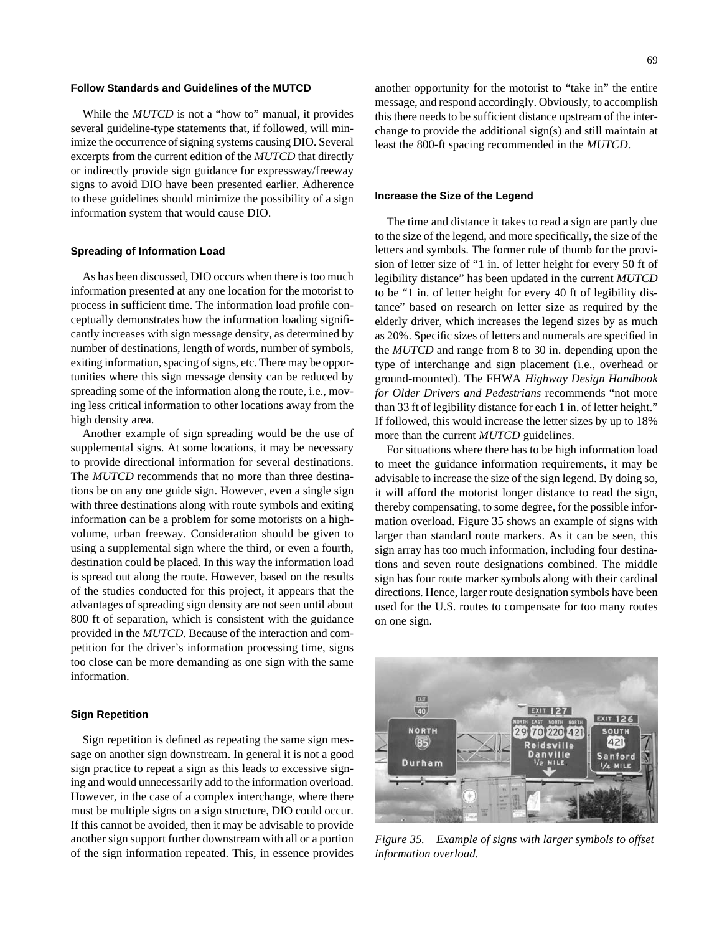#### **Follow Standards and Guidelines of the MUTCD**

While the *MUTCD* is not a "how to" manual, it provides several guideline-type statements that, if followed, will minimize the occurrence of signing systems causing DIO. Several excerpts from the current edition of the *MUTCD* that directly or indirectly provide sign guidance for expressway/freeway signs to avoid DIO have been presented earlier. Adherence to these guidelines should minimize the possibility of a sign information system that would cause DIO.

#### **Spreading of Information Load**

As has been discussed, DIO occurs when there is too much information presented at any one location for the motorist to process in sufficient time. The information load profile conceptually demonstrates how the information loading significantly increases with sign message density, as determined by number of destinations, length of words, number of symbols, exiting information, spacing of signs, etc. There may be opportunities where this sign message density can be reduced by spreading some of the information along the route, i.e., moving less critical information to other locations away from the high density area.

Another example of sign spreading would be the use of supplemental signs. At some locations, it may be necessary to provide directional information for several destinations. The *MUTCD* recommends that no more than three destinations be on any one guide sign. However, even a single sign with three destinations along with route symbols and exiting information can be a problem for some motorists on a highvolume, urban freeway. Consideration should be given to using a supplemental sign where the third, or even a fourth, destination could be placed. In this way the information load is spread out along the route. However, based on the results of the studies conducted for this project, it appears that the advantages of spreading sign density are not seen until about 800 ft of separation, which is consistent with the guidance provided in the *MUTCD*. Because of the interaction and competition for the driver's information processing time, signs too close can be more demanding as one sign with the same information.

#### **Sign Repetition**

Sign repetition is defined as repeating the same sign message on another sign downstream. In general it is not a good sign practice to repeat a sign as this leads to excessive signing and would unnecessarily add to the information overload. However, in the case of a complex interchange, where there must be multiple signs on a sign structure, DIO could occur. If this cannot be avoided, then it may be advisable to provide another sign support further downstream with all or a portion of the sign information repeated. This, in essence provides

another opportunity for the motorist to "take in" the entire message, and respond accordingly. Obviously, to accomplish this there needs to be sufficient distance upstream of the interchange to provide the additional sign(s) and still maintain at least the 800-ft spacing recommended in the *MUTCD*.

#### **Increase the Size of the Legend**

The time and distance it takes to read a sign are partly due to the size of the legend, and more specifically, the size of the letters and symbols. The former rule of thumb for the provision of letter size of "1 in. of letter height for every 50 ft of legibility distance" has been updated in the current *MUTCD* to be "1 in. of letter height for every 40 ft of legibility distance" based on research on letter size as required by the elderly driver, which increases the legend sizes by as much as 20%. Specific sizes of letters and numerals are specified in the *MUTCD* and range from 8 to 30 in. depending upon the type of interchange and sign placement (i.e., overhead or ground-mounted). The FHWA *Highway Design Handbook for Older Drivers and Pedestrians* recommends "not more than 33 ft of legibility distance for each 1 in. of letter height." If followed, this would increase the letter sizes by up to 18% more than the current *MUTCD* guidelines.

For situations where there has to be high information load to meet the guidance information requirements, it may be advisable to increase the size of the sign legend. By doing so, it will afford the motorist longer distance to read the sign, thereby compensating, to some degree, for the possible information overload. Figure 35 shows an example of signs with larger than standard route markers. As it can be seen, this sign array has too much information, including four destinations and seven route designations combined. The middle sign has four route marker symbols along with their cardinal directions. Hence, larger route designation symbols have been used for the U.S. routes to compensate for too many routes on one sign.



*Figure 35. Example of signs with larger symbols to offset information overload.*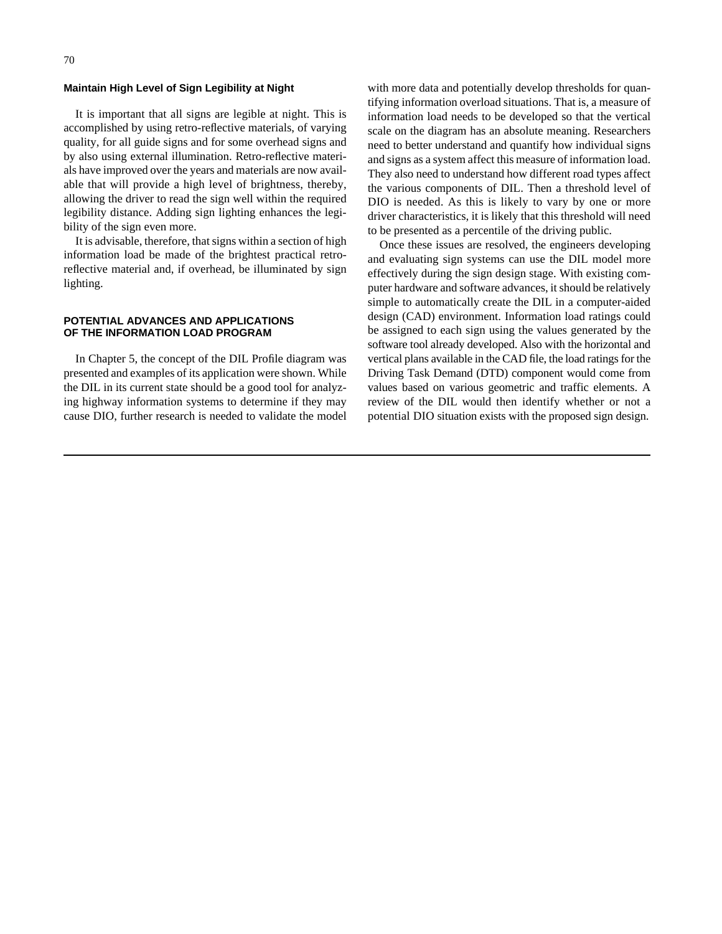#### **Maintain High Level of Sign Legibility at Night**

It is important that all signs are legible at night. This is accomplished by using retro-reflective materials, of varying quality, for all guide signs and for some overhead signs and by also using external illumination. Retro-reflective materials have improved over the years and materials are now available that will provide a high level of brightness, thereby, allowing the driver to read the sign well within the required legibility distance. Adding sign lighting enhances the legibility of the sign even more.

It is advisable, therefore, that signs within a section of high information load be made of the brightest practical retroreflective material and, if overhead, be illuminated by sign lighting.

#### **POTENTIAL ADVANCES AND APPLICATIONS OF THE INFORMATION LOAD PROGRAM**

In Chapter 5, the concept of the DIL Profile diagram was presented and examples of its application were shown. While the DIL in its current state should be a good tool for analyzing highway information systems to determine if they may cause DIO, further research is needed to validate the model with more data and potentially develop thresholds for quantifying information overload situations. That is, a measure of information load needs to be developed so that the vertical scale on the diagram has an absolute meaning. Researchers need to better understand and quantify how individual signs and signs as a system affect this measure of information load. They also need to understand how different road types affect the various components of DIL. Then a threshold level of DIO is needed. As this is likely to vary by one or more driver characteristics, it is likely that this threshold will need to be presented as a percentile of the driving public.

Once these issues are resolved, the engineers developing and evaluating sign systems can use the DIL model more effectively during the sign design stage. With existing computer hardware and software advances, it should be relatively simple to automatically create the DIL in a computer-aided design (CAD) environment. Information load ratings could be assigned to each sign using the values generated by the software tool already developed. Also with the horizontal and vertical plans available in the CAD file, the load ratings for the Driving Task Demand (DTD) component would come from values based on various geometric and traffic elements. A review of the DIL would then identify whether or not a potential DIO situation exists with the proposed sign design.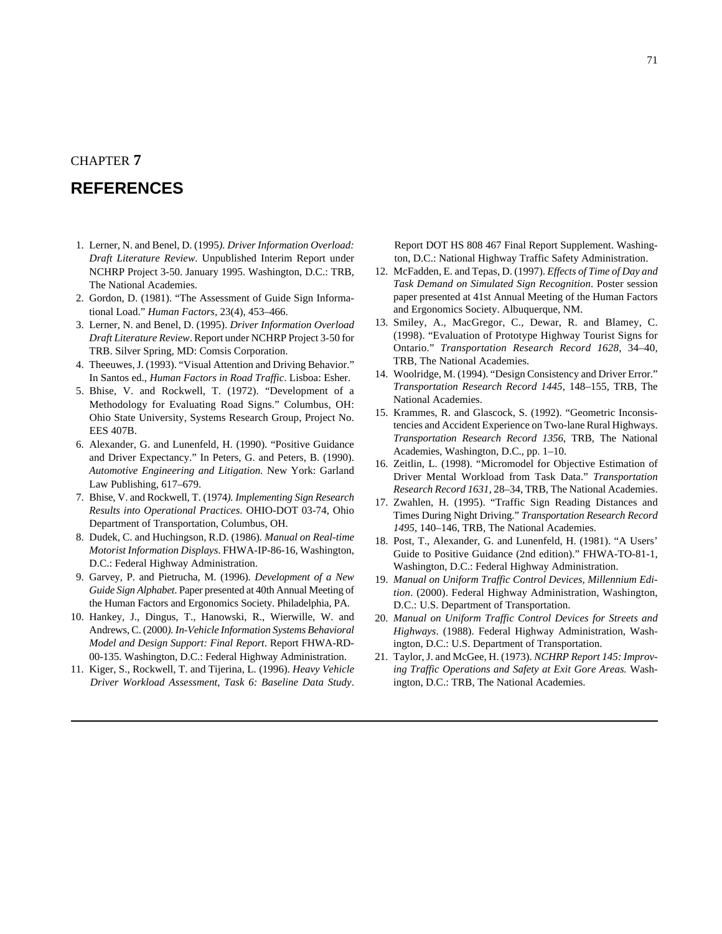## CHAPTER **7**

# **REFERENCES**

- 1. Lerner, N. and Benel, D. (1995*). Driver Information Overload: Draft Literature Review*. Unpublished Interim Report under NCHRP Project 3-50. January 1995. Washington, D.C.: TRB, The National Academies.
- 2. Gordon, D. (1981). "The Assessment of Guide Sign Informational Load." *Human Factors,* 23(4), 453–466.
- 3. Lerner, N. and Benel, D. (1995). *Driver Information Overload Draft Literature Review*. Report under NCHRP Project 3-50 for TRB. Silver Spring, MD: Comsis Corporation.
- 4. Theeuwes, J. (1993). "Visual Attention and Driving Behavior." In Santos ed., *Human Factors in Road Traffic*. Lisboa: Esher.
- 5. Bhise, V. and Rockwell, T. (1972). "Development of a Methodology for Evaluating Road Signs." Columbus, OH: Ohio State University, Systems Research Group, Project No. EES 407B.
- 6. Alexander, G. and Lunenfeld, H. (1990). "Positive Guidance and Driver Expectancy." In Peters, G. and Peters, B. (1990). *Automotive Engineering and Litigation.* New York: Garland Law Publishing, 617–679.
- 7. Bhise, V. and Rockwell, T. (1974*). Implementing Sign Research Results into Operational Practices*. OHIO-DOT 03-74, Ohio Department of Transportation, Columbus, OH.
- 8. Dudek, C. and Huchingson, R.D. (1986). *Manual on Real-time Motorist Information Displays*. FHWA-IP-86-16, Washington, D.C.: Federal Highway Administration.
- 9. Garvey, P. and Pietrucha, M. (1996). *Development of a New Guide Sign Alphabet*. Paper presented at 40th Annual Meeting of the Human Factors and Ergonomics Society. Philadelphia, PA.
- 10. Hankey, J., Dingus, T., Hanowski, R., Wierwille, W. and Andrews, C. (2000*). In-Vehicle Information Systems Behavioral Model and Design Support: Final Report*. Report FHWA-RD-00-135. Washington, D.C.: Federal Highway Administration.
- 11. Kiger, S., Rockwell, T. and Tijerina, L. (1996). *Heavy Vehicle Driver Workload Assessment, Task 6: Baseline Data Study*.

Report DOT HS 808 467 Final Report Supplement. Washington, D.C.: National Highway Traffic Safety Administration.

- 12. McFadden, E. and Tepas, D. (1997). *Effects of Time of Day and Task Demand on Simulated Sign Recognition*. Poster session paper presented at 41st Annual Meeting of the Human Factors and Ergonomics Society. Albuquerque, NM.
- 13. Smiley, A., MacGregor, C., Dewar, R. and Blamey, C. (1998). "Evaluation of Prototype Highway Tourist Signs for Ontario." *Transportation Research Record 1628*, 34–40, TRB, The National Academies.
- 14. Woolridge, M. (1994). "Design Consistency and Driver Error." *Transportation Research Record 1445*, 148–155, TRB, The National Academies.
- 15. Krammes, R. and Glascock, S. (1992). "Geometric Inconsistencies and Accident Experience on Two-lane Rural Highways. *Transportation Research Record 1356*, TRB, The National Academies, Washington, D.C., pp. 1–10.
- 16. Zeitlin, L. (1998). "Micromodel for Objective Estimation of Driver Mental Workload from Task Data." *Transportation Research Record 1631*, 28–34, TRB, The National Academies.
- 17. Zwahlen, H. (1995). "Traffic Sign Reading Distances and Times During Night Driving." *Transportation Research Record 1495*, 140–146, TRB, The National Academies.
- 18. Post, T., Alexander, G. and Lunenfeld, H. (1981). "A Users' Guide to Positive Guidance (2nd edition)." FHWA-TO-81-1, Washington, D.C.: Federal Highway Administration.
- 19. *Manual on Uniform Traffic Control Devices, Millennium Edition*. (2000). Federal Highway Administration, Washington, D.C.: U.S. Department of Transportation.
- 20. *Manual on Uniform Traffic Control Devices for Streets and Highways*. (1988). Federal Highway Administration, Washington, D.C.: U.S. Department of Transportation.
- 21. Taylor, J. and McGee, H. (1973). *NCHRP Report 145: Improving Traffic Operations and Safety at Exit Gore Areas.* Washington, D.C.: TRB, The National Academies.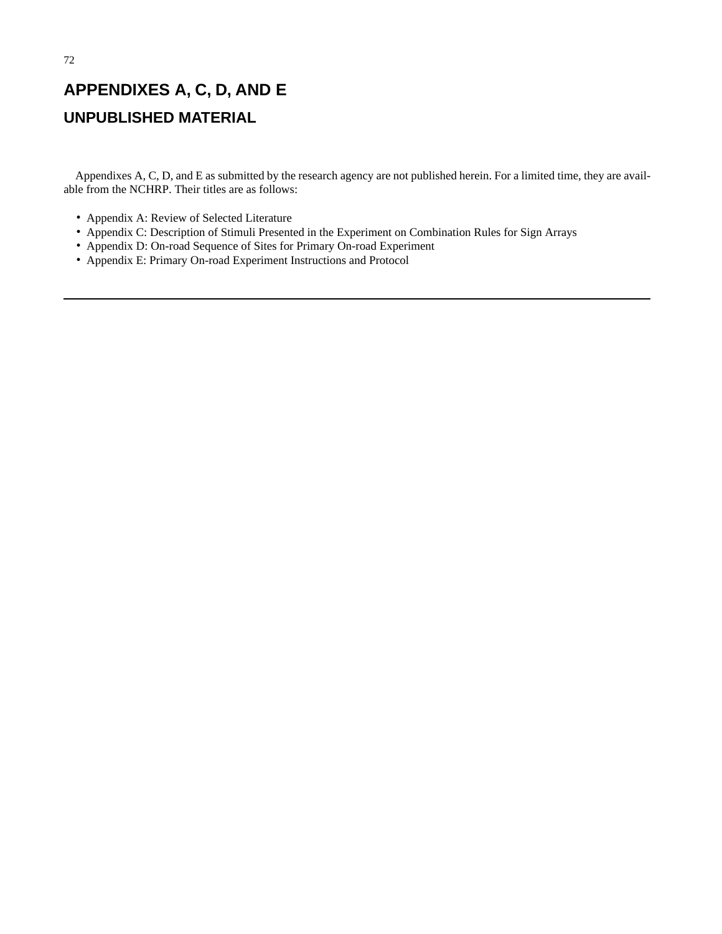# **APPENDIXES A, C, D, AND E UNPUBLISHED MATERIAL**

Appendixes A, C, D, and E as submitted by the research agency are not published herein. For a limited time, they are available from the NCHRP. Their titles are as follows:

- Appendix A: Review of Selected Literature
- Appendix C: Description of Stimuli Presented in the Experiment on Combination Rules for Sign Arrays
- Appendix D: On-road Sequence of Sites for Primary On-road Experiment
- Appendix E: Primary On-road Experiment Instructions and Protocol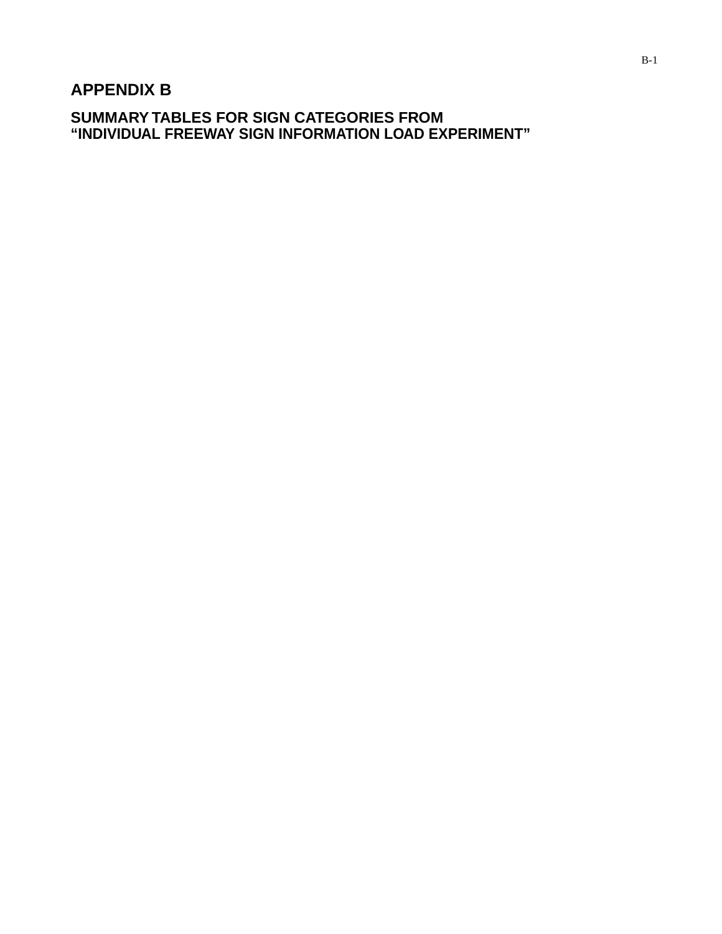# **APPENDIX B**

**SUMMARY TABLES FOR SIGN CATEGORIES FROM "INDIVIDUAL FREEWAY SIGN INFORMATION LOAD EXPERIMENT"**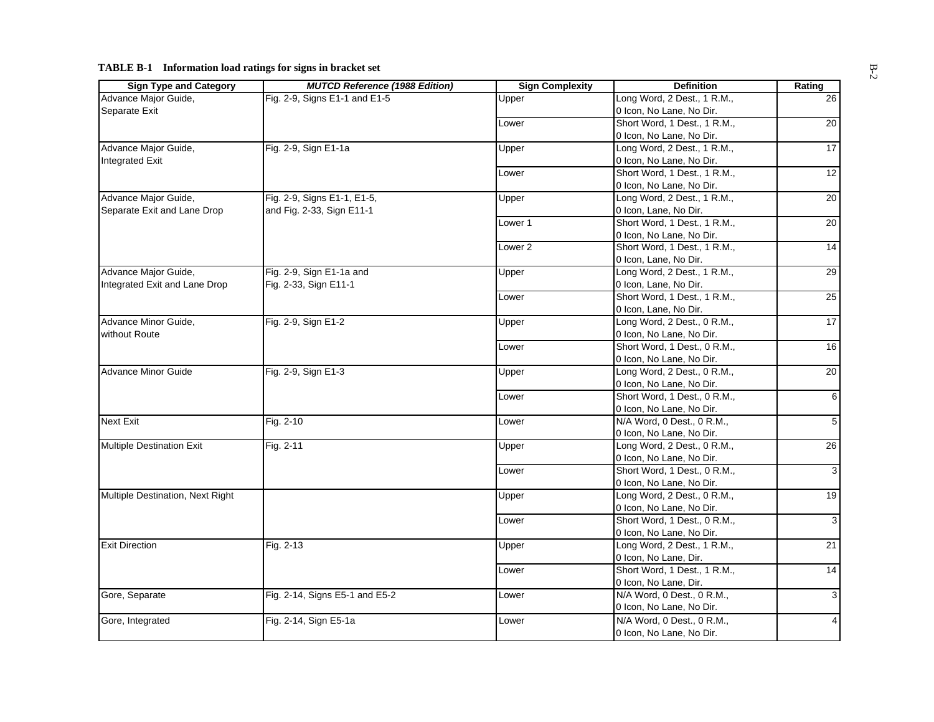| <b>Sign Type and Category</b>    | <b>MUTCD Reference (1988 Edition)</b> | <b>Sign Complexity</b> | <b>Definition</b>            | Rating          |
|----------------------------------|---------------------------------------|------------------------|------------------------------|-----------------|
| Advance Major Guide,             | Fig. 2-9, Signs E1-1 and E1-5         | Upper                  | Long Word, 2 Dest., 1 R.M.,  | 26              |
| Separate Exit                    |                                       |                        | 0 Icon, No Lane, No Dir.     |                 |
|                                  |                                       | Lower                  | Short Word, 1 Dest., 1 R.M., | 20              |
|                                  |                                       |                        | 0 Icon, No Lane, No Dir.     |                 |
| Advance Major Guide,             | Fig. 2-9, Sign E1-1a                  | Upper                  | Long Word, 2 Dest., 1 R.M.,  | 17              |
| <b>Integrated Exit</b>           |                                       |                        | 0 Icon, No Lane, No Dir.     |                 |
|                                  |                                       | Lower                  | Short Word, 1 Dest., 1 R.M., | 12              |
|                                  |                                       |                        | 0 Icon, No Lane, No Dir.     |                 |
| Advance Major Guide,             | Fig. 2-9, Signs E1-1, E1-5,           | Upper                  | Long Word, 2 Dest., 1 R.M.,  | 20              |
| Separate Exit and Lane Drop      | and Fig. 2-33, Sign E11-1             |                        | 0 Icon, Lane, No Dir.        |                 |
|                                  |                                       | Lower 1                | Short Word, 1 Dest., 1 R.M., | 20              |
|                                  |                                       |                        | 0 Icon, No Lane, No Dir.     |                 |
|                                  |                                       | Lower <sub>2</sub>     | Short Word, 1 Dest., 1 R.M., | 14              |
|                                  |                                       |                        | 0 Icon, Lane, No Dir.        |                 |
| Advance Major Guide,             | Fig. 2-9, Sign E1-1a and              | Upper                  | Long Word, 2 Dest., 1 R.M.,  | $\overline{29}$ |
| Integrated Exit and Lane Drop    | Fig. 2-33, Sign E11-1                 |                        | 0 Icon, Lane, No Dir.        |                 |
|                                  |                                       | Lower                  | Short Word, 1 Dest., 1 R.M., | 25              |
|                                  |                                       |                        | 0 Icon, Lane, No Dir.        |                 |
| Advance Minor Guide,             | Fig. 2-9, Sign E1-2                   | Upper                  | Long Word, 2 Dest., 0 R.M.,  | $\overline{17}$ |
| without Route                    |                                       |                        | 0 Icon, No Lane, No Dir.     |                 |
|                                  |                                       | Lower                  | Short Word, 1 Dest., 0 R.M., | 16              |
|                                  |                                       |                        | 0 Icon, No Lane, No Dir.     |                 |
| Advance Minor Guide              | Fig. 2-9, Sign E1-3                   | Upper                  | Long Word, 2 Dest., 0 R.M.,  | $\overline{20}$ |
|                                  |                                       |                        | 0 Icon, No Lane, No Dir.     |                 |
|                                  |                                       | Lower                  | Short Word, 1 Dest., 0 R.M., | 6               |
|                                  |                                       |                        | 0 Icon, No Lane, No Dir.     |                 |
| <b>Next Exit</b>                 | Fig. 2-10                             | Lower                  | N/A Word, 0 Dest., 0 R.M.,   | 5               |
|                                  |                                       |                        | 0 Icon, No Lane, No Dir.     |                 |
| <b>Multiple Destination Exit</b> | Fig. 2-11                             | Upper                  | Long Word, 2 Dest., 0 R.M.,  | $\overline{26}$ |
|                                  |                                       |                        |                              |                 |
|                                  |                                       |                        | 0 Icon, No Lane, No Dir.     |                 |
|                                  |                                       | Lower                  | Short Word, 1 Dest., 0 R.M., | 3               |
|                                  |                                       |                        | 0 Icon, No Lane, No Dir.     |                 |
| Multiple Destination, Next Right |                                       | Upper                  | Long Word, 2 Dest., 0 R.M.,  | 19              |
|                                  |                                       |                        | 0 Icon, No Lane, No Dir.     |                 |
|                                  |                                       | Lower                  | Short Word, 1 Dest., 0 R.M., | 3               |
|                                  |                                       |                        | 0 Icon, No Lane, No Dir.     |                 |
| <b>Exit Direction</b>            | Fig. 2-13                             | Upper                  | Long Word, 2 Dest., 1 R.M.,  | $\overline{21}$ |
|                                  |                                       |                        | 0 Icon, No Lane, Dir.        |                 |
|                                  |                                       | Lower                  | Short Word, 1 Dest., 1 R.M., | $\overline{14}$ |
|                                  |                                       |                        | 0 Icon, No Lane, Dir.        |                 |
| Gore, Separate                   | Fig. 2-14, Signs E5-1 and E5-2        | Lower                  | N/A Word, 0 Dest., 0 R.M.,   | 3               |
|                                  |                                       |                        | 0 Icon, No Lane, No Dir.     |                 |
| Gore, Integrated                 | Fig. 2-14, Sign E5-1a                 | Lower                  | N/A Word, 0 Dest., 0 R.M.,   | 4               |
|                                  |                                       |                        | 0 Icon, No Lane, No Dir.     |                 |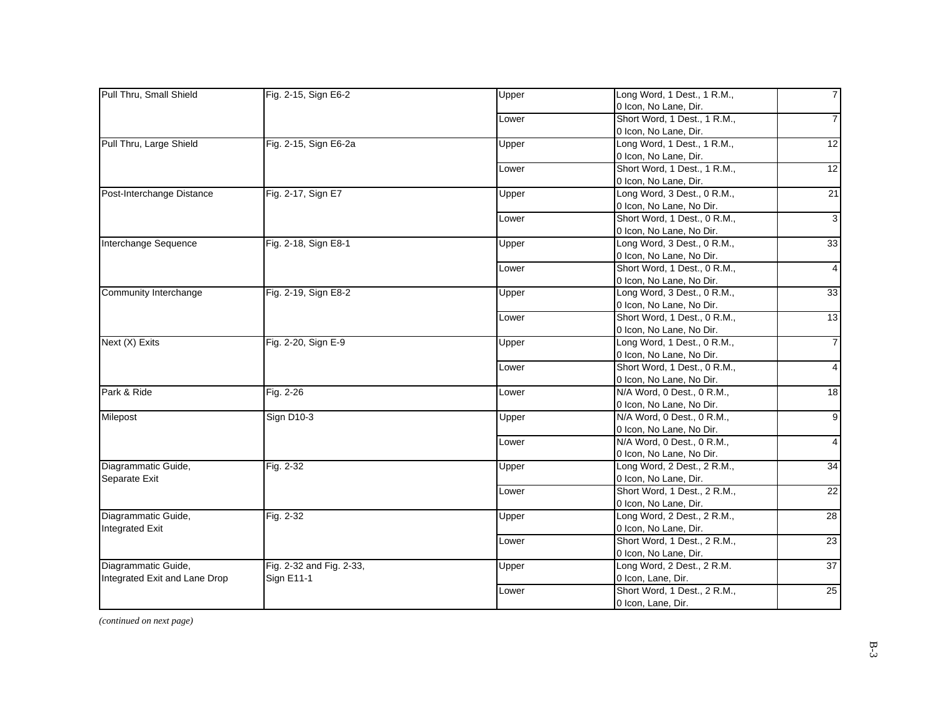| Pull Thru, Small Shield       | Fig. 2-15, Sign E6-2     | Upper | Long Word, 1 Dest., 1 R.M.,  | $\overline{7}$          |
|-------------------------------|--------------------------|-------|------------------------------|-------------------------|
|                               |                          |       | 0 Icon, No Lane, Dir.        |                         |
|                               |                          | Lower | Short Word, 1 Dest., 1 R.M., | $\overline{7}$          |
|                               |                          |       | 0 Icon, No Lane, Dir.        |                         |
| Pull Thru, Large Shield       | Fig. 2-15, Sign E6-2a    | Upper | Long Word, 1 Dest., 1 R.M.,  | 12                      |
|                               |                          |       | 0 Icon, No Lane, Dir.        |                         |
|                               |                          | Lower | Short Word, 1 Dest., 1 R.M., | 12                      |
|                               |                          |       | 0 Icon, No Lane, Dir.        |                         |
| Post-Interchange Distance     | Fig. 2-17, Sign E7       | Upper | Long Word, 3 Dest., 0 R.M.,  | 21                      |
|                               |                          |       | 0 Icon, No Lane, No Dir.     |                         |
|                               |                          | Lower | Short Word, 1 Dest., 0 R.M., | $\overline{3}$          |
|                               |                          |       | 0 Icon, No Lane, No Dir.     |                         |
| Interchange Sequence          | Fig. 2-18, Sign E8-1     | Upper | Long Word, 3 Dest., 0 R.M.,  | 33                      |
|                               |                          |       | 0 Icon, No Lane, No Dir.     |                         |
|                               |                          | Lower | Short Word, 1 Dest., 0 R.M., | $\overline{4}$          |
|                               |                          |       | 0 Icon, No Lane, No Dir.     |                         |
| Community Interchange         | Fig. 2-19, Sign E8-2     | Upper | Long Word, 3 Dest., 0 R.M.,  | 33                      |
|                               |                          |       | 0 Icon, No Lane, No Dir.     |                         |
|                               |                          | Lower | Short Word, 1 Dest., 0 R.M., | 13                      |
|                               |                          |       | 0 Icon, No Lane, No Dir.     |                         |
| Next (X) Exits                | Fig. 2-20, Sign E-9      | Upper | Long Word, 1 Dest., 0 R.M.,  | $\overline{7}$          |
|                               |                          |       | 0 Icon, No Lane, No Dir.     |                         |
|                               |                          | Lower | Short Word, 1 Dest., 0 R.M., | $\overline{4}$          |
|                               |                          |       | 0 Icon, No Lane, No Dir.     |                         |
| Park & Ride                   | Fig. 2-26                | Lower | N/A Word, 0 Dest., 0 R.M.,   | 18                      |
|                               |                          |       | 0 Icon, No Lane, No Dir.     |                         |
| Milepost                      | <b>Sign D10-3</b>        | Upper | N/A Word, 0 Dest., 0 R.M.,   | $\overline{9}$          |
|                               |                          |       | 0 Icon, No Lane, No Dir.     |                         |
|                               |                          | Lower | N/A Word, 0 Dest., 0 R.M.,   | $\overline{\mathbf{4}}$ |
|                               |                          |       | 0 Icon, No Lane, No Dir.     |                         |
| Diagrammatic Guide,           | Fig. 2-32                | Upper | Long Word, 2 Dest., 2 R.M.,  | 34                      |
| Separate Exit                 |                          |       | 0 Icon, No Lane, Dir.        |                         |
|                               |                          | Lower | Short Word, 1 Dest., 2 R.M., | 22                      |
|                               |                          |       | 0 Icon, No Lane, Dir.        |                         |
| Diagrammatic Guide,           | Fig. 2-32                |       | Long Word, 2 Dest., 2 R.M.,  | 28                      |
|                               |                          | Upper |                              |                         |
| <b>Integrated Exit</b>        |                          |       | 0 Icon, No Lane, Dir.        | 23                      |
|                               |                          | Lower | Short Word, 1 Dest., 2 R.M., |                         |
|                               |                          |       | 0 Icon, No Lane, Dir.        |                         |
| Diagrammatic Guide,           | Fig. 2-32 and Fig. 2-33, | Upper | Long Word, 2 Dest., 2 R.M.   | 37                      |
| Integrated Exit and Lane Drop | <b>Sign E11-1</b>        |       | 0 Icon, Lane, Dir.           |                         |
|                               |                          | Lower | Short Word, 1 Dest., 2 R.M., | $25\overline{)}$        |
|                               |                          |       | 0 Icon, Lane, Dir.           |                         |

*(continued on next page)*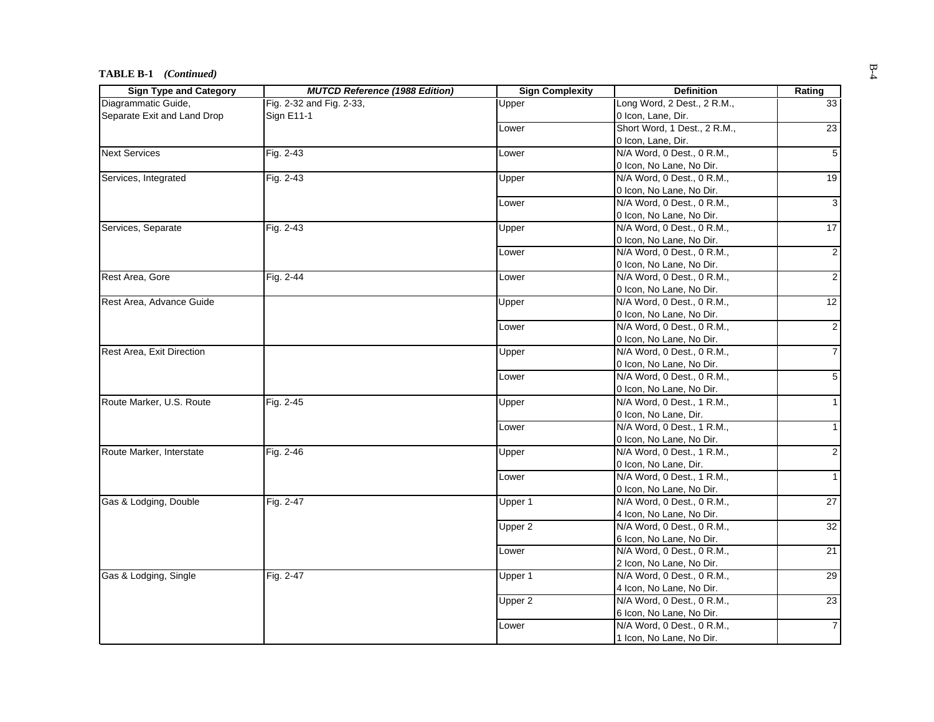#### **TABLE B-1** *(Continued)*

| <b>Sign Type and Category</b> | <b>MUTCD Reference (1988 Edition)</b> | <b>Sign Complexity</b> | <b>Definition</b>            | Rating            |
|-------------------------------|---------------------------------------|------------------------|------------------------------|-------------------|
| Diagrammatic Guide.           | Fig. 2-32 and Fig. 2-33,              | Upper                  | Long Word, 2 Dest., 2 R.M.,  | 33 <sup>1</sup>   |
| Separate Exit and Land Drop   | Sign E11-1                            |                        | 0 Icon, Lane, Dir.           |                   |
|                               |                                       | Lower                  | Short Word, 1 Dest., 2 R.M., | 23                |
|                               |                                       |                        | 0 Icon, Lane, Dir.           |                   |
| <b>Next Services</b>          | Fig. 2-43                             | Lower                  | N/A Word, 0 Dest., 0 R.M.,   | $\overline{5}$    |
|                               |                                       |                        | 0 Icon, No Lane, No Dir.     |                   |
| Services, Integrated          | Fig. 2-43                             | Upper                  | N/A Word, 0 Dest., 0 R.M.,   | 19                |
|                               |                                       |                        | 0 Icon, No Lane, No Dir.     |                   |
|                               |                                       | Lower                  | N/A Word, 0 Dest., 0 R.M.,   | $\overline{3}$    |
|                               |                                       |                        | 0 Icon, No Lane, No Dir.     |                   |
| Services, Separate            | Fig. 2-43                             | Upper                  | N/A Word, 0 Dest., 0 R.M.,   | 17                |
|                               |                                       |                        | 0 Icon, No Lane, No Dir.     |                   |
|                               |                                       | Lower                  | N/A Word, 0 Dest., 0 R.M.,   | $\overline{2}$    |
|                               |                                       |                        | 0 Icon, No Lane, No Dir.     |                   |
| Rest Area, Gore               | Fig. 2-44                             | Lower                  | N/A Word, 0 Dest., 0 R.M.,   | $\overline{2}$    |
|                               |                                       |                        | 0 Icon, No Lane, No Dir.     |                   |
| Rest Area, Advance Guide      |                                       | Upper                  | N/A Word, 0 Dest., 0 R.M.,   | $12 \overline{)}$ |
|                               |                                       |                        | 0 Icon, No Lane, No Dir.     |                   |
|                               |                                       | Lower                  | N/A Word, 0 Dest., 0 R.M.,   | $\overline{2}$    |
|                               |                                       |                        | 0 Icon, No Lane, No Dir.     |                   |
| Rest Area, Exit Direction     |                                       | Upper                  | N/A Word, 0 Dest., 0 R.M.,   | $\overline{7}$    |
|                               |                                       |                        | 0 Icon, No Lane, No Dir.     |                   |
|                               |                                       | Lower                  | N/A Word, 0 Dest., 0 R.M.,   | $\overline{5}$    |
|                               |                                       |                        | 0 Icon, No Lane, No Dir.     |                   |
| Route Marker, U.S. Route      | Fig. 2-45                             | Upper                  | N/A Word, 0 Dest., 1 R.M.,   | 1 <sup>1</sup>    |
|                               |                                       |                        | 0 Icon, No Lane, Dir.        |                   |
|                               |                                       | Lower                  | N/A Word, 0 Dest., 1 R.M.,   | 1 <sup>1</sup>    |
|                               |                                       |                        | 0 Icon, No Lane, No Dir.     |                   |
| Route Marker, Interstate      | Fig. 2-46                             | Upper                  | N/A Word, 0 Dest., 1 R.M.,   | $\overline{2}$    |
|                               |                                       |                        | 0 Icon, No Lane, Dir.        |                   |
|                               |                                       | Lower                  | N/A Word, 0 Dest., 1 R.M.,   | 1 <sup>1</sup>    |
|                               |                                       |                        | 0 Icon, No Lane, No Dir.     |                   |
| Gas & Lodging, Double         | Fig. 2-47                             | Upper 1                | N/A Word, 0 Dest., 0 R.M.,   | 27                |
|                               |                                       |                        | 4 Icon, No Lane, No Dir.     |                   |
|                               |                                       | Upper 2                | N/A Word, 0 Dest., 0 R.M.,   | 32                |
|                               |                                       |                        | 6 Icon, No Lane, No Dir.     |                   |
|                               |                                       | Lower                  | N/A Word, 0 Dest., 0 R.M.,   | 21                |
|                               |                                       |                        | 2 Icon, No Lane, No Dir.     |                   |
| Gas & Lodging, Single         | Fig. 2-47                             | Upper 1                | N/A Word, 0 Dest., 0 R.M.,   | 29                |
|                               |                                       |                        | 4 Icon, No Lane, No Dir.     |                   |
|                               |                                       | Upper 2                | N/A Word, 0 Dest., 0 R.M.,   | 23                |
|                               |                                       |                        | 6 Icon, No Lane, No Dir.     |                   |
|                               |                                       | Lower                  | N/A Word, 0 Dest., 0 R.M.,   | $\overline{7}$    |
|                               |                                       |                        | 1 Icon, No Lane, No Dir.     |                   |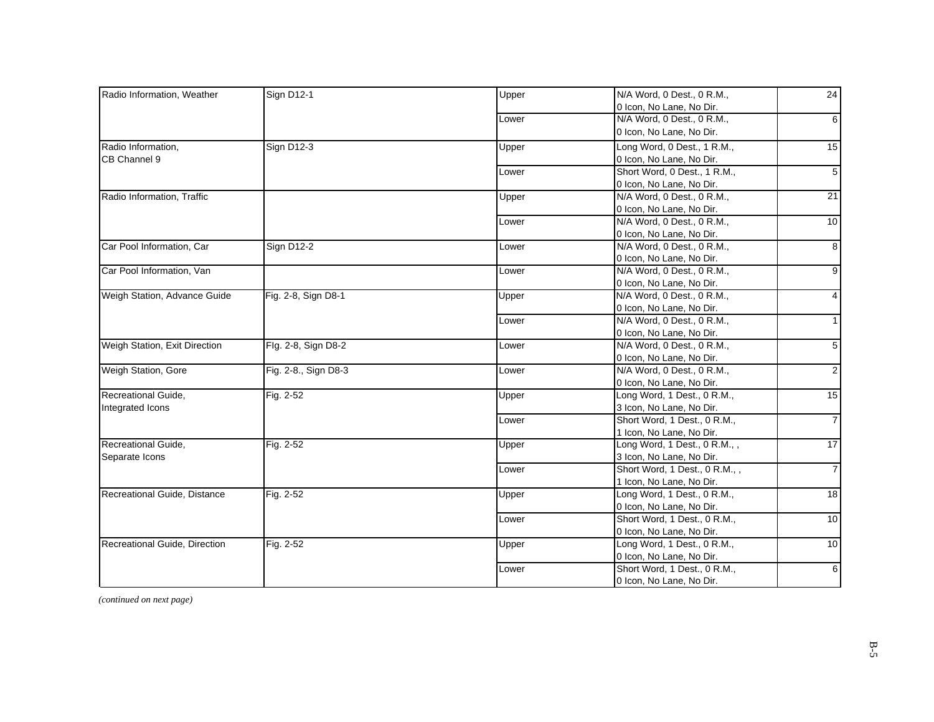| Radio Information, Weather    | <b>Sign D12-1</b>    | Upper | N/A Word, 0 Dest., 0 R.M.,    | 24              |
|-------------------------------|----------------------|-------|-------------------------------|-----------------|
|                               |                      |       | 0 Icon, No Lane, No Dir.      |                 |
|                               |                      | Lower | N/A Word, 0 Dest., 0 R.M.,    | $6 \mid$        |
|                               |                      |       | 0 Icon, No Lane, No Dir.      |                 |
| Radio Information,            | <b>Sign D12-3</b>    | Upper | Long Word, 0 Dest., 1 R.M.,   | 15              |
| CB Channel 9                  |                      |       | 0 Icon, No Lane, No Dir.      |                 |
|                               |                      | Lower | Short Word, 0 Dest., 1 R.M.,  | 5               |
|                               |                      |       | 0 Icon, No Lane, No Dir.      |                 |
| Radio Information, Traffic    |                      | Upper | N/A Word, 0 Dest., 0 R.M.,    | 21              |
|                               |                      |       | 0 Icon, No Lane, No Dir.      |                 |
|                               |                      | Lower | N/A Word, 0 Dest., 0 R.M.,    | 10 <sup>1</sup> |
|                               |                      |       | 0 Icon, No Lane, No Dir.      |                 |
| Car Pool Information, Car     | <b>Sign D12-2</b>    | Lower | N/A Word, 0 Dest., 0 R.M.,    | $\overline{8}$  |
|                               |                      |       | 0 Icon, No Lane, No Dir.      |                 |
| Car Pool Information, Van     |                      | Lower | N/A Word, 0 Dest., 0 R.M.,    | $\overline{9}$  |
|                               |                      |       | 0 Icon, No Lane, No Dir.      |                 |
| Weigh Station, Advance Guide  | Fig. 2-8, Sign D8-1  | Upper | N/A Word, 0 Dest., 0 R.M.,    | 4 <sup>1</sup>  |
|                               |                      |       | 0 Icon, No Lane, No Dir.      |                 |
|                               |                      | Lower | N/A Word, 0 Dest., 0 R.M.,    | 1 <sup>1</sup>  |
|                               |                      |       | 0 Icon, No Lane, No Dir.      |                 |
| Weigh Station, Exit Direction | Flg. 2-8, Sign D8-2  | Lower | N/A Word, 0 Dest., 0 R.M.,    | 5 <sup>1</sup>  |
|                               |                      |       | 0 Icon, No Lane, No Dir.      |                 |
| Weigh Station, Gore           | Fig. 2-8., Sign D8-3 | Lower | N/A Word, 0 Dest., 0 R.M.,    | $\overline{2}$  |
|                               |                      |       | 0 Icon, No Lane, No Dir.      |                 |
| Recreational Guide,           | Fig. 2-52            | Upper | Long Word, 1 Dest., 0 R.M.,   | 15              |
| Integrated Icons              |                      |       | 3 Icon, No Lane, No Dir.      |                 |
|                               |                      | Lower | Short Word, 1 Dest., 0 R.M.,  | $\overline{7}$  |
|                               |                      |       | 1 Icon, No Lane, No Dir.      |                 |
| Recreational Guide,           | Fig. 2-52            | Upper | Long Word, 1 Dest., 0 R.M., , | 17              |
| Separate Icons                |                      |       | 3 Icon, No Lane, No Dir.      |                 |
|                               |                      | Lower | Short Word, 1 Dest., 0 R.M.,, | $\overline{7}$  |
|                               |                      |       | 1 Icon, No Lane, No Dir.      |                 |
| Recreational Guide, Distance  | Fig. 2-52            | Upper | Long Word, 1 Dest., 0 R.M.,   | 18              |
|                               |                      |       | 0 Icon, No Lane, No Dir.      |                 |
|                               |                      | Lower | Short Word, 1 Dest., 0 R.M.,  | 10 <sup>1</sup> |
|                               |                      |       | 0 Icon, No Lane, No Dir.      |                 |
| Recreational Guide, Direction | Fig. 2-52            | Upper | Long Word, 1 Dest., 0 R.M.,   | 10              |
|                               |                      |       | 0 Icon, No Lane, No Dir.      |                 |
|                               |                      | Lower | Short Word, 1 Dest., 0 R.M.,  | $6 \mid$        |
|                               |                      |       | 0 Icon, No Lane, No Dir.      |                 |

*(continued on next page)*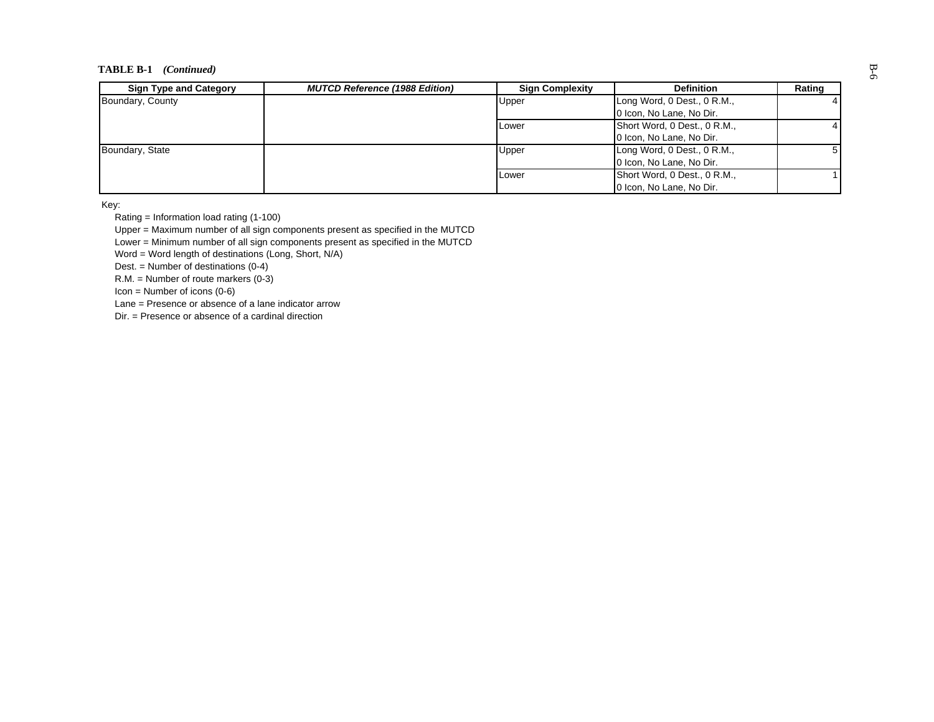# **TABLE B-1** *(Continued)*  $\overset{\text{up}}{\circ}$

| <b>Sign Type and Category</b> | <b>MUTCD Reference (1988 Edition)</b> | <b>Sign Complexity</b> | <b>Definition</b>            | Rating |
|-------------------------------|---------------------------------------|------------------------|------------------------------|--------|
| Boundary, County              |                                       | Upper                  | Long Word, 0 Dest., 0 R.M.,  |        |
|                               |                                       |                        | 0 Icon, No Lane, No Dir.     |        |
|                               |                                       | <b>Lower</b>           | Short Word, 0 Dest., 0 R.M., |        |
|                               |                                       |                        | 0 Icon, No Lane, No Dir.     |        |
| Boundary, State               |                                       | Upper                  | Long Word, 0 Dest., 0 R.M.,  |        |
|                               |                                       |                        | 0 Icon, No Lane, No Dir.     |        |
|                               |                                       | <b>ILower</b>          | Short Word, 0 Dest., 0 R.M., |        |
|                               |                                       |                        | 0 Icon, No Lane, No Dir.     |        |

Key:

Rating = Information load rating (1-100)

Upper = Maximum number of all sign components present as specified in the MUTCD

Lower = Minimum number of all sign components present as specified in the MUTCD

Word = Word length of destinations (Long, Short, N/A)

Dest. = Number of destinations (0-4)

 $R.M. =$  Number of route markers  $(0-3)$ 

 $Icon =$  Number of icons  $(0-6)$ 

Lane = Presence or absence of a lane indicator arrow

Dir. = Presence or absence of a cardinal direction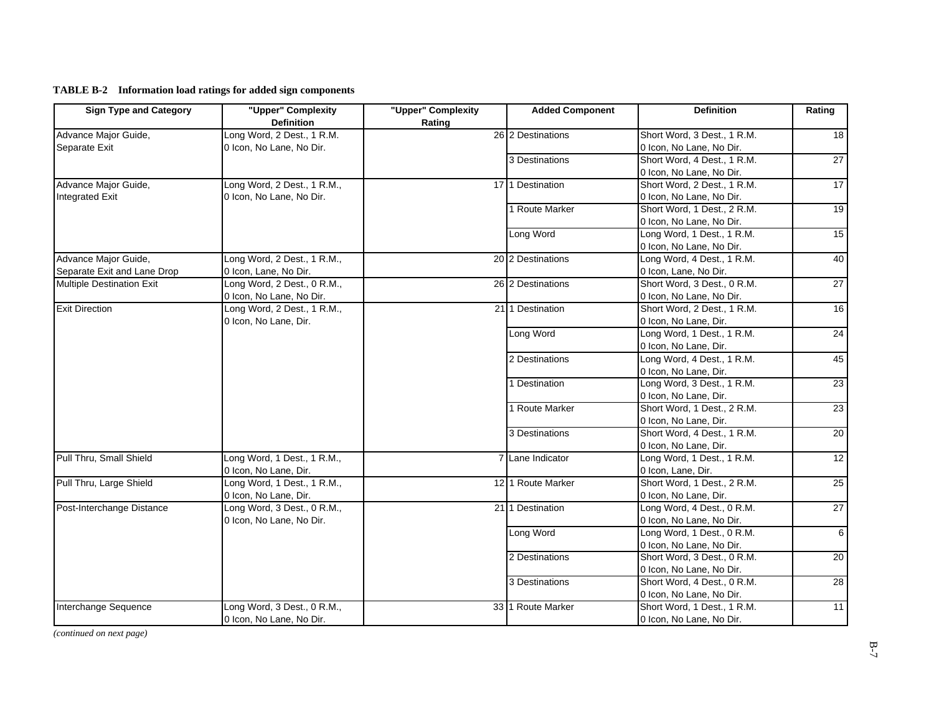**TABLE B-2 Information load ratings for added sign components**

| <b>Sign Type and Category</b>    | "Upper" Complexity<br><b>Definition</b> | "Upper" Complexity<br>Rating | <b>Added Component</b> | <b>Definition</b>           | Rating          |
|----------------------------------|-----------------------------------------|------------------------------|------------------------|-----------------------------|-----------------|
| Advance Major Guide,             | Long Word, 2 Dest., 1 R.M.              |                              | 26 2 Destinations      | Short Word, 3 Dest., 1 R.M. | 18              |
| Separate Exit                    | 0 Icon, No Lane, No Dir.                |                              |                        | 0 Icon, No Lane, No Dir.    |                 |
|                                  |                                         |                              | 3 Destinations         | Short Word, 4 Dest., 1 R.M. | 27              |
|                                  |                                         |                              |                        | 0 Icon, No Lane, No Dir.    |                 |
| Advance Major Guide,             | Long Word, 2 Dest., 1 R.M.,             |                              | 17 1 Destination       | Short Word, 2 Dest., 1 R.M. | 17              |
| <b>Integrated Exit</b>           | 0 Icon, No Lane, No Dir.                |                              |                        | 0 Icon, No Lane, No Dir.    |                 |
|                                  |                                         |                              | 1 Route Marker         | Short Word, 1 Dest., 2 R.M. | 19              |
|                                  |                                         |                              |                        | 0 Icon, No Lane, No Dir.    |                 |
|                                  |                                         |                              | Long Word              | Long Word, 1 Dest., 1 R.M.  | 15              |
|                                  |                                         |                              |                        | 0 Icon, No Lane, No Dir.    |                 |
| Advance Major Guide,             | Long Word, 2 Dest., 1 R.M.,             |                              | 20 2 Destinations      | Long Word, 4 Dest., 1 R.M.  | 40              |
| Separate Exit and Lane Drop      | 0 Icon, Lane, No Dir.                   |                              |                        | 0 Icon, Lane, No Dir.       |                 |
| <b>Multiple Destination Exit</b> | Long Word, 2 Dest., 0 R.M.,             |                              | 26 2 Destinations      | Short Word, 3 Dest., 0 R.M. | 27              |
|                                  | 0 Icon, No Lane, No Dir.                |                              |                        | 0 Icon, No Lane, No Dir.    |                 |
| <b>Exit Direction</b>            | Long Word, 2 Dest., 1 R.M.,             |                              | 211 Destination        | Short Word, 2 Dest., 1 R.M. | 16              |
|                                  | 0 Icon, No Lane, Dir.                   |                              |                        | 0 Icon, No Lane, Dir.       |                 |
|                                  |                                         |                              | Long Word              | Long Word, 1 Dest., 1 R.M.  | 24              |
|                                  |                                         |                              |                        | 0 Icon, No Lane, Dir.       |                 |
|                                  |                                         |                              | 2 Destinations         | Long Word, 4 Dest., 1 R.M.  | 45              |
|                                  |                                         |                              |                        | 0 Icon, No Lane, Dir.       |                 |
|                                  |                                         |                              | 1 Destination          | Long Word, 3 Dest., 1 R.M.  | $\overline{23}$ |
|                                  |                                         |                              |                        | 0 Icon, No Lane, Dir.       |                 |
|                                  |                                         |                              | 1 Route Marker         | Short Word, 1 Dest., 2 R.M. | 23              |
|                                  |                                         |                              |                        | 0 Icon, No Lane, Dir.       |                 |
|                                  |                                         |                              | 3 Destinations         | Short Word, 4 Dest., 1 R.M. | 20              |
|                                  |                                         |                              |                        | 0 Icon, No Lane, Dir.       |                 |
| Pull Thru, Small Shield          | Long Word, 1 Dest., 1 R.M.,             |                              | 7 Lane Indicator       | Long Word, 1 Dest., 1 R.M.  | 12              |
|                                  | 0 Icon, No Lane, Dir.                   |                              |                        | 0 Icon, Lane, Dir.          |                 |
| Pull Thru, Large Shield          | Long Word, 1 Dest., 1 R.M.,             |                              | 12 1 Route Marker      | Short Word, 1 Dest., 2 R.M. | 25              |
|                                  | 0 Icon, No Lane, Dir.                   |                              |                        | 0 Icon, No Lane, Dir.       |                 |
| Post-Interchange Distance        | Long Word, 3 Dest., 0 R.M.,             |                              | 2111 Destination       | Long Word, 4 Dest., 0 R.M.  | 27              |
|                                  | 0 Icon, No Lane, No Dir.                |                              |                        | 0 Icon, No Lane, No Dir.    |                 |
|                                  |                                         |                              | Long Word              | Long Word, 1 Dest., 0 R.M.  | $\sigma$        |
|                                  |                                         |                              |                        | 0 Icon, No Lane, No Dir.    |                 |
|                                  |                                         |                              | 2 Destinations         | Short Word, 3 Dest., 0 R.M. | 20              |
|                                  |                                         |                              |                        | 0 Icon, No Lane, No Dir.    |                 |
|                                  |                                         |                              | 3 Destinations         | Short Word, 4 Dest., 0 R.M. | 28              |
|                                  |                                         |                              |                        | 0 Icon, No Lane, No Dir.    |                 |
| Interchange Sequence             | Long Word, 3 Dest., 0 R.M.,             |                              | 33 1 Route Marker      | Short Word, 1 Dest., 1 R.M. | 11              |
|                                  | 0 Icon, No Lane, No Dir.                |                              |                        | 0 Icon, No Lane, No Dir.    |                 |

*(continued on next page)*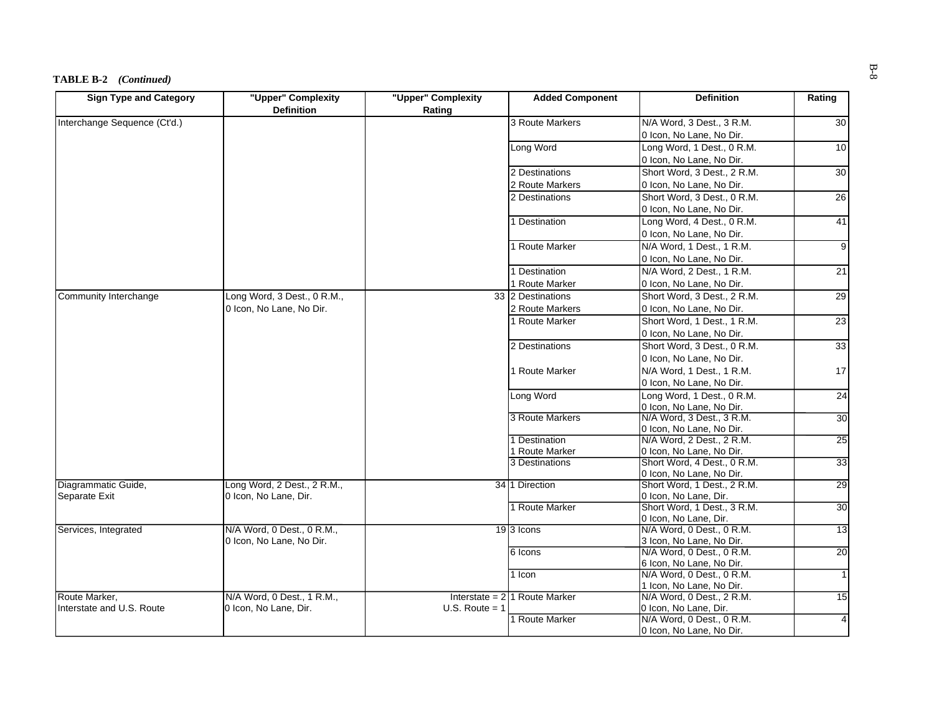#### $\overline{A}$ **BLE** B-2 *(Continued) (Continued)*

| <b>Sign Type and Category</b> | "Upper" Complexity          | "Upper" Complexity | <b>Added Component</b>                 | <b>Definition</b>                                    | Rating          |
|-------------------------------|-----------------------------|--------------------|----------------------------------------|------------------------------------------------------|-----------------|
|                               | <b>Definition</b>           | Rating             |                                        |                                                      |                 |
| Interchange Sequence (Ct'd.)  |                             |                    | 3 Route Markers                        | N/A Word, 3 Dest., 3 R.M.                            | 30              |
|                               |                             |                    |                                        | 0 Icon, No Lane, No Dir.                             |                 |
|                               |                             |                    | Long Word                              | Long Word, 1 Dest., 0 R.M.                           | 10 <sup>1</sup> |
|                               |                             |                    |                                        | 0 Icon, No Lane, No Dir.                             |                 |
|                               |                             |                    | 2 Destinations                         | Short Word, 3 Dest., 2 R.M.                          | 30              |
|                               |                             |                    | 2 Route Markers                        | 0 Icon, No Lane, No Dir.                             |                 |
|                               |                             |                    | 2 Destinations                         | Short Word, 3 Dest., 0 R.M.                          | 26              |
|                               |                             |                    |                                        | 0 Icon, No Lane, No Dir.                             |                 |
|                               |                             |                    | 1 Destination                          | Long Word, 4 Dest., 0 R.M.                           | 41              |
|                               |                             |                    |                                        | 0 Icon, No Lane, No Dir.                             |                 |
|                               |                             |                    | 1 Route Marker                         | N/A Word, 1 Dest., 1 R.M.                            | $\overline{9}$  |
|                               |                             |                    |                                        | 0 Icon, No Lane, No Dir.                             |                 |
|                               |                             |                    | 1 Destination                          | N/A Word, 2 Dest., 1 R.M.                            | 21              |
|                               |                             |                    | 1 Route Marker                         | 0 Icon, No Lane, No Dir.                             |                 |
| Community Interchange         | Long Word, 3 Dest., 0 R.M., |                    | 33 2 Destinations                      | Short Word, 3 Dest., 2 R.M.                          | 29              |
|                               | 0 Icon, No Lane, No Dir.    |                    | 2 Route Markers                        | 0 Icon, No Lane, No Dir.                             |                 |
|                               |                             |                    | 1 Route Marker                         | Short Word, 1 Dest., 1 R.M.                          | 23              |
|                               |                             |                    |                                        | 0 Icon, No Lane, No Dir.                             |                 |
|                               |                             |                    | 2 Destinations                         | Short Word, 3 Dest., 0 R.M.                          | 33              |
|                               |                             |                    |                                        | 0 Icon, No Lane, No Dir.                             |                 |
|                               |                             |                    | 1 Route Marker                         | N/A Word, 1 Dest., 1 R.M.                            | 17              |
|                               |                             |                    |                                        | 0 Icon, No Lane, No Dir.                             |                 |
|                               |                             |                    | Long Word                              | Long Word, 1 Dest., 0 R.M.                           | 24              |
|                               |                             |                    |                                        | 0 Icon, No Lane, No Dir.                             |                 |
|                               |                             |                    | 3 Route Markers                        | N/A Word, 3 Dest., 3 R.M.                            | 30              |
|                               |                             |                    |                                        | 0 Icon, No Lane, No Dir.                             |                 |
|                               |                             |                    | 1 Destination                          | N/A Word, 2 Dest., 2 R.M.                            | 25              |
|                               |                             |                    | 1 Route Marker                         | 0 Icon, No Lane, No Dir.                             |                 |
|                               |                             |                    | 3 Destinations                         | Short Word, 4 Dest., 0 R.M.                          | 33              |
|                               |                             |                    |                                        | 0 Icon, No Lane, No Dir.                             |                 |
| Diagrammatic Guide,           | Long Word, 2 Dest., 2 R.M., |                    | 34 1 Direction                         | Short Word, 1 Dest., 2 R.M.                          | 29              |
| Separate Exit                 | 0 Icon, No Lane, Dir.       |                    | 1 Route Marker                         | 0 Icon, No Lane, Dir.<br>Short Word, 1 Dest., 3 R.M. |                 |
|                               |                             |                    |                                        | 0 Icon, No Lane, Dir.                                | 30              |
| Services, Integrated          | N/A Word, 0 Dest., 0 R.M.,  |                    | 19 3 Icons                             | N/A Word, 0 Dest., 0 R.M.                            | $\overline{13}$ |
|                               | 0 Icon, No Lane, No Dir.    |                    |                                        | 3 Icon, No Lane, No Dir.                             |                 |
|                               |                             |                    | 6 Icons                                | N/A Word, 0 Dest., 0 R.M.                            | 20              |
|                               |                             |                    |                                        | 6 Icon, No Lane, No Dir.                             |                 |
|                               |                             |                    | 1 Icon                                 | N/A Word, 0 Dest., 0 R.M.                            | $\overline{1}$  |
|                               |                             |                    |                                        | 1 Icon, No Lane, No Dir.                             |                 |
| Route Marker.                 | N/A Word, 0 Dest., 1 R.M.,  |                    | Interstate = $2 \times 1$ Route Marker | N/A Word, 0 Dest., 2 R.M.                            | 15              |
| Interstate and U.S. Route     | 0 Icon, No Lane, Dir.       | $U.S.$ Route = 1   |                                        | 0 Icon, No Lane, Dir.                                |                 |
|                               |                             |                    | 1 Route Marker                         | N/A Word, 0 Dest., 0 R.M.                            | $\overline{4}$  |
|                               |                             |                    |                                        | 0 Icon, No Lane, No Dir.                             |                 |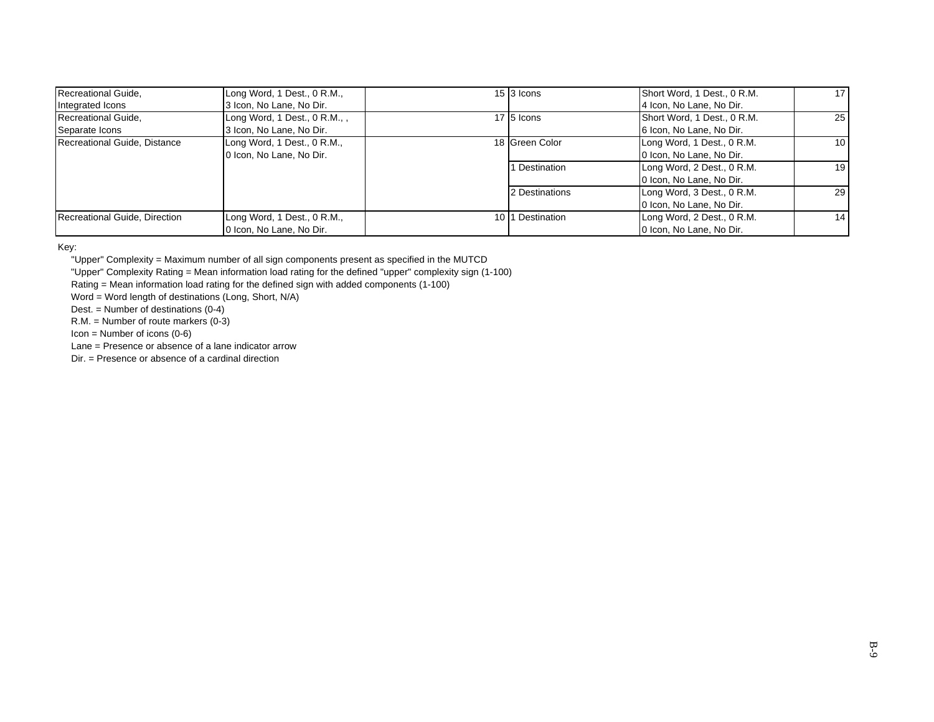| Recreational Guide,           | Long Word, 1 Dest., 0 R.M.,  | $15$ 3 Icons     | Short Word, 1 Dest., 0 R.M. | 17 <sup>1</sup> |
|-------------------------------|------------------------------|------------------|-----------------------------|-----------------|
| Integrated Icons              | 3 Icon, No Lane, No Dir.     |                  | 4 Icon, No Lane, No Dir.    |                 |
| Recreational Guide,           | Long Word, 1 Dest., 0 R.M.,, | 17 5 Icons       | Short Word, 1 Dest., 0 R.M. | 25 <sub>1</sub> |
| Separate Icons                | 3 Icon, No Lane, No Dir.     |                  | 6 Icon, No Lane, No Dir.    |                 |
| Recreational Guide, Distance  | Long Word, 1 Dest., 0 R.M.,  | 18 Green Color   | Long Word, 1 Dest., 0 R.M.  | 10 <sup>1</sup> |
|                               | 0 Icon, No Lane, No Dir.     |                  | 0 Icon, No Lane, No Dir.    |                 |
|                               |                              | Destination      | Long Word, 2 Dest., 0 R.M.  | 19 <sup>1</sup> |
|                               |                              |                  | 0 Icon, No Lane, No Dir.    |                 |
|                               |                              | 2 Destinations   | Long Word, 3 Dest., 0 R.M.  | 29 <sub>l</sub> |
|                               |                              |                  | 0 Icon, No Lane, No Dir.    |                 |
| Recreational Guide, Direction | Long Word, 1 Dest., 0 R.M.,  | 10 1 Destination | Long Word, 2 Dest., 0 R.M.  | 14 <sup>1</sup> |
|                               | 0 Icon, No Lane, No Dir.     |                  | 0 Icon, No Lane, No Dir.    |                 |

Key:

"Upper" Complexity = Maximum number of all sign components present as specified in the MUTCD

"Upper" Complexity Rating = Mean information load rating for the defined "upper" complexity sign (1-100)

Rating = Mean information load rating for the defined sign with added components (1-100)

Word = Word length of destinations (Long, Short, N/A)

Dest. = Number of destinations  $(0-4)$ 

R.M. = Number of route markers (0-3)

 $Icon =$  Number of icons  $(0-6)$ 

Lane = Presence or absence of a lane indicator arrow

Dir. = Presence or absence of a cardinal direction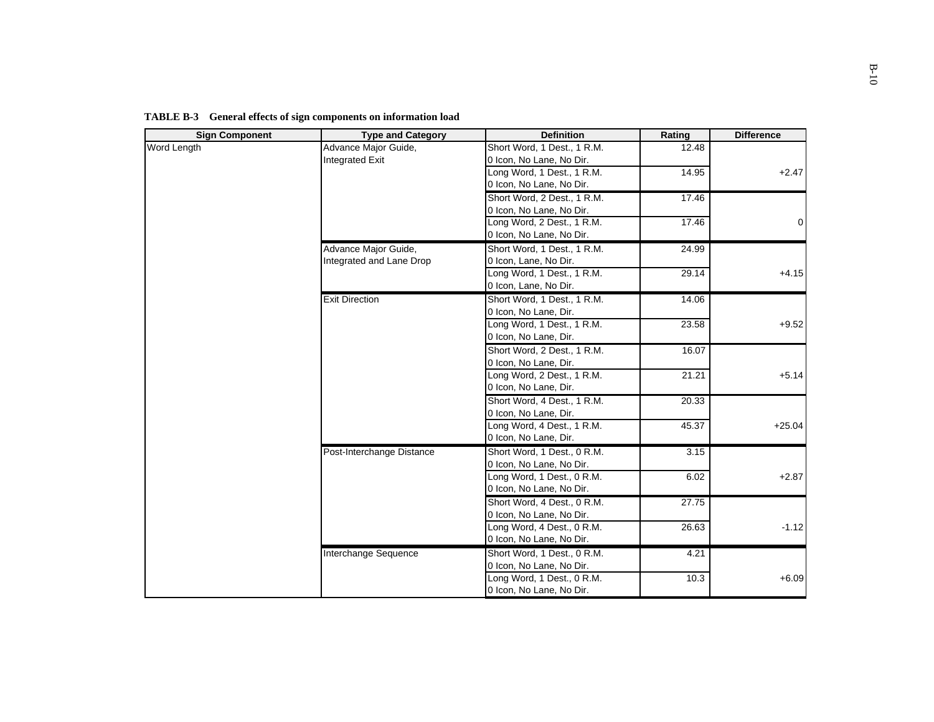| <b>Sign Component</b> | <b>Type and Category</b>  | <b>Definition</b>           | Rating | <b>Difference</b> |
|-----------------------|---------------------------|-----------------------------|--------|-------------------|
| Word Length           | Advance Major Guide,      | Short Word, 1 Dest., 1 R.M. | 12.48  |                   |
|                       | <b>Integrated Exit</b>    | 0 Icon, No Lane, No Dir.    |        |                   |
|                       |                           | Long Word, 1 Dest., 1 R.M.  | 14.95  | $+2.47$           |
|                       |                           | 0 Icon, No Lane, No Dir.    |        |                   |
|                       |                           | Short Word, 2 Dest., 1 R.M. | 17.46  |                   |
|                       |                           | 0 Icon, No Lane, No Dir.    |        |                   |
|                       |                           | Long Word, 2 Dest., 1 R.M.  | 17.46  | $\Omega$          |
|                       |                           | 0 Icon, No Lane, No Dir.    |        |                   |
|                       | Advance Major Guide,      | Short Word, 1 Dest., 1 R.M. | 24.99  |                   |
|                       | Integrated and Lane Drop  | 0 Icon, Lane, No Dir.       |        |                   |
|                       |                           | Long Word, 1 Dest., 1 R.M.  | 29.14  | $+4.15$           |
|                       |                           | 0 Icon, Lane, No Dir.       |        |                   |
|                       | <b>Exit Direction</b>     | Short Word, 1 Dest., 1 R.M. | 14.06  |                   |
|                       |                           | 0 Icon, No Lane, Dir.       |        |                   |
|                       |                           | Long Word, 1 Dest., 1 R.M.  | 23.58  | $+9.52$           |
|                       |                           | 0 Icon, No Lane, Dir.       |        |                   |
|                       |                           | Short Word, 2 Dest., 1 R.M. | 16.07  |                   |
|                       |                           | 0 Icon, No Lane, Dir.       |        |                   |
|                       |                           | Long Word, 2 Dest., 1 R.M.  | 21.21  | $+5.14$           |
|                       |                           | 0 Icon, No Lane, Dir.       |        |                   |
|                       |                           | Short Word, 4 Dest., 1 R.M. | 20.33  |                   |
|                       |                           | 0 Icon, No Lane, Dir.       |        |                   |
|                       |                           | Long Word, 4 Dest., 1 R.M.  | 45.37  | $+25.04$          |
|                       |                           | 0 Icon, No Lane, Dir.       |        |                   |
|                       | Post-Interchange Distance | Short Word, 1 Dest., 0 R.M. | 3.15   |                   |
|                       |                           | 0 Icon, No Lane, No Dir.    |        |                   |
|                       |                           | Long Word, 1 Dest., 0 R.M.  | 6.02   | $+2.87$           |
|                       |                           | 0 Icon, No Lane, No Dir.    |        |                   |
|                       |                           | Short Word, 4 Dest., 0 R.M. | 27.75  |                   |
|                       |                           | 0 Icon, No Lane, No Dir.    |        |                   |
|                       |                           | Long Word, 4 Dest., 0 R.M.  | 26.63  | $-1.12$           |
|                       |                           | 0 Icon, No Lane, No Dir.    |        |                   |
|                       | Interchange Sequence      | Short Word, 1 Dest., 0 R.M. | 4.21   |                   |
|                       |                           | 0 Icon, No Lane, No Dir.    |        |                   |
|                       |                           | Long Word, 1 Dest., 0 R.M.  | 10.3   | $+6.09$           |
|                       |                           | 0 Icon, No Lane, No Dir.    |        |                   |

**TABLE B-3 General effects of sign components on information load**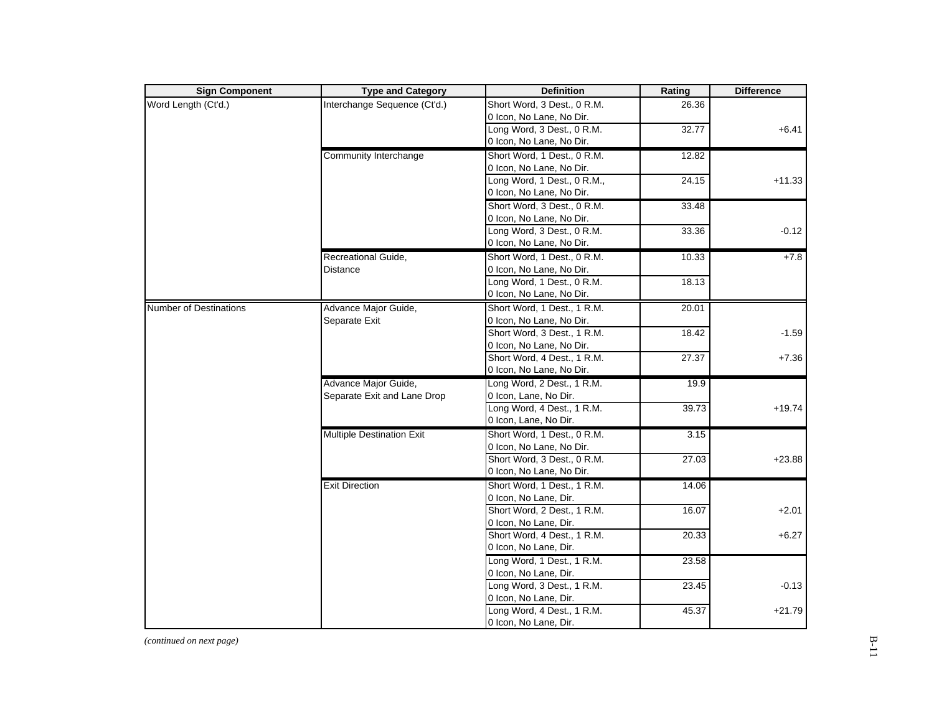| <b>Sign Component</b>         | <b>Type and Category</b>         | <b>Definition</b>           | Rating | <b>Difference</b> |
|-------------------------------|----------------------------------|-----------------------------|--------|-------------------|
| Word Length (Ct'd.)           | Interchange Sequence (Ct'd.)     | Short Word, 3 Dest., 0 R.M. | 26.36  |                   |
|                               |                                  | 0 Icon, No Lane, No Dir.    |        |                   |
|                               |                                  | Long Word, 3 Dest., 0 R.M.  | 32.77  | $+6.41$           |
|                               |                                  | 0 Icon, No Lane, No Dir.    |        |                   |
|                               | Community Interchange            | Short Word, 1 Dest., 0 R.M. | 12.82  |                   |
|                               |                                  | 0 Icon, No Lane, No Dir.    |        |                   |
|                               |                                  | Long Word, 1 Dest., 0 R.M., | 24.15  | $+11.33$          |
|                               |                                  | 0 Icon, No Lane, No Dir.    |        |                   |
|                               |                                  | Short Word, 3 Dest., 0 R.M. | 33.48  |                   |
|                               |                                  | 0 Icon, No Lane, No Dir.    |        |                   |
|                               |                                  | Long Word, 3 Dest., 0 R.M.  | 33.36  | $-0.12$           |
|                               |                                  | 0 Icon, No Lane, No Dir.    |        |                   |
|                               | Recreational Guide,              | Short Word, 1 Dest., 0 R.M. | 10.33  | $+7.8$            |
|                               | Distance                         | 0 Icon, No Lane, No Dir.    |        |                   |
|                               |                                  | Long Word, 1 Dest., 0 R.M.  | 18.13  |                   |
|                               |                                  | 0 Icon, No Lane, No Dir.    |        |                   |
| <b>Number of Destinations</b> | Advance Major Guide,             | Short Word, 1 Dest., 1 R.M. | 20.01  |                   |
|                               | Separate Exit                    | 0 Icon, No Lane, No Dir.    |        |                   |
|                               |                                  | Short Word, 3 Dest., 1 R.M. | 18.42  | $-1.59$           |
|                               |                                  | 0 Icon, No Lane, No Dir.    |        |                   |
|                               |                                  | Short Word, 4 Dest., 1 R.M. | 27.37  | $+7.36$           |
|                               |                                  | 0 Icon, No Lane, No Dir.    |        |                   |
|                               | Advance Major Guide,             | Long Word, 2 Dest., 1 R.M.  | 19.9   |                   |
|                               | Separate Exit and Lane Drop      | 0 Icon, Lane, No Dir.       |        |                   |
|                               |                                  | Long Word, 4 Dest., 1 R.M.  | 39.73  | $+19.74$          |
|                               |                                  | 0 Icon, Lane, No Dir.       |        |                   |
|                               | <b>Multiple Destination Exit</b> | Short Word, 1 Dest., 0 R.M. | 3.15   |                   |
|                               |                                  | 0 Icon, No Lane, No Dir.    |        |                   |
|                               |                                  | Short Word, 3 Dest., 0 R.M. | 27.03  | $+23.88$          |
|                               |                                  | 0 Icon, No Lane, No Dir.    |        |                   |
|                               | <b>Exit Direction</b>            | Short Word, 1 Dest., 1 R.M. | 14.06  |                   |
|                               |                                  | 0 Icon, No Lane, Dir.       |        |                   |
|                               |                                  | Short Word, 2 Dest., 1 R.M. | 16.07  | $+2.01$           |
|                               |                                  | 0 Icon, No Lane, Dir.       |        |                   |
|                               |                                  | Short Word, 4 Dest., 1 R.M. | 20.33  | $+6.27$           |
|                               |                                  | 0 Icon, No Lane, Dir.       |        |                   |
|                               |                                  | Long Word, 1 Dest., 1 R.M.  | 23.58  |                   |
|                               |                                  | 0 Icon, No Lane, Dir.       |        |                   |
|                               |                                  | Long Word, 3 Dest., 1 R.M.  | 23.45  | $-0.13$           |
|                               |                                  | 0 Icon, No Lane, Dir.       |        |                   |
|                               |                                  | Long Word, 4 Dest., 1 R.M.  | 45.37  |                   |
|                               |                                  | 0 Icon, No Lane, Dir.       |        | $+21.79$          |

*(continued on next page)*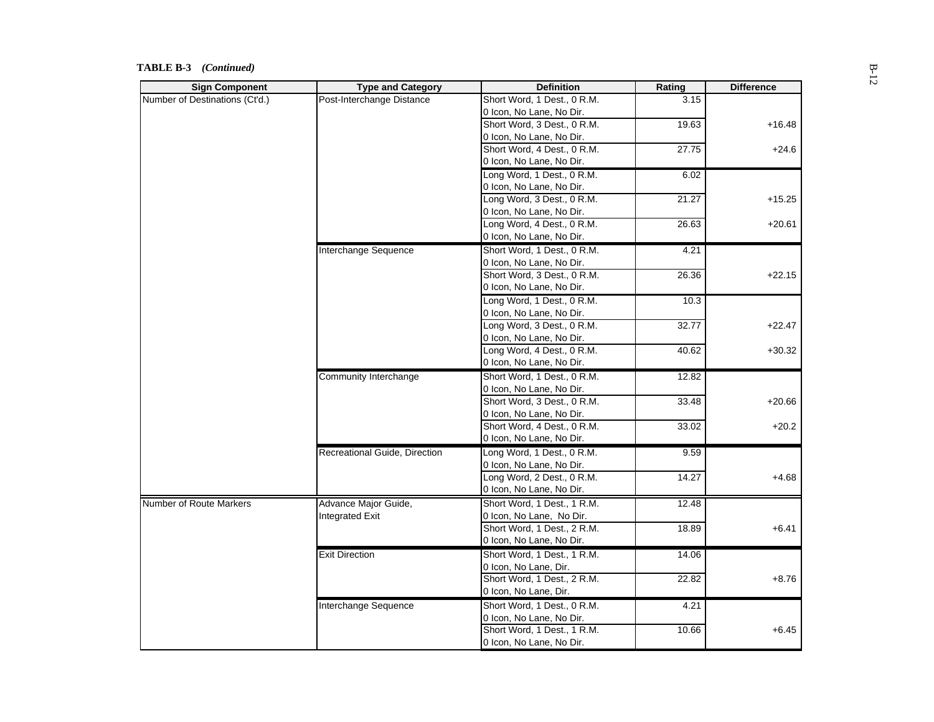#### **TABLE B-3** *(Continued)*

| <b>Sign Component</b>          | <b>Type and Category</b>      | <b>Definition</b>           | Rating            | <b>Difference</b> |
|--------------------------------|-------------------------------|-----------------------------|-------------------|-------------------|
| Number of Destinations (Ct'd.) | Post-Interchange Distance     | Short Word, 1 Dest., 0 R.M. | 3.15              |                   |
|                                |                               | 0 Icon, No Lane, No Dir.    |                   |                   |
|                                |                               | Short Word, 3 Dest., 0 R.M. | 19.63             | $+16.48$          |
|                                |                               | 0 Icon, No Lane, No Dir.    |                   |                   |
|                                |                               | Short Word, 4 Dest., 0 R.M. | $\frac{1}{27.75}$ | $+24.6$           |
|                                |                               | 0 Icon, No Lane, No Dir.    |                   |                   |
|                                |                               | Long Word, 1 Dest., 0 R.M.  | 6.02              |                   |
|                                |                               | 0 Icon, No Lane, No Dir.    |                   |                   |
|                                |                               | Long Word, 3 Dest., 0 R.M.  | 21.27             | $+15.25$          |
|                                |                               | 0 Icon, No Lane, No Dir.    |                   |                   |
|                                |                               | Long Word, 4 Dest., 0 R.M.  | 26.63             | $+20.61$          |
|                                |                               | 0 Icon, No Lane, No Dir.    |                   |                   |
|                                | Interchange Sequence          | Short Word, 1 Dest., 0 R.M. | 4.21              |                   |
|                                |                               | 0 Icon, No Lane, No Dir.    |                   |                   |
|                                |                               | Short Word, 3 Dest., 0 R.M. | 26.36             | $+22.15$          |
|                                |                               | 0 Icon, No Lane, No Dir.    |                   |                   |
|                                |                               | Long Word, 1 Dest., 0 R.M.  | 10.3              |                   |
|                                |                               | 0 Icon, No Lane, No Dir.    |                   |                   |
|                                |                               | Long Word, 3 Dest., 0 R.M.  | 32.77             | $+22.47$          |
|                                |                               | 0 Icon, No Lane, No Dir.    |                   |                   |
|                                |                               | Long Word, 4 Dest., 0 R.M.  | 40.62             | $+30.32$          |
|                                |                               | 0 Icon, No Lane, No Dir.    |                   |                   |
|                                |                               |                             |                   |                   |
|                                | Community Interchange         | Short Word, 1 Dest., 0 R.M. | 12.82             |                   |
|                                |                               | 0 Icon, No Lane, No Dir.    |                   |                   |
|                                |                               | Short Word, 3 Dest., 0 R.M. | 33.48             | $+20.66$          |
|                                |                               | 0 Icon, No Lane, No Dir.    |                   |                   |
|                                |                               | Short Word, 4 Dest., 0 R.M. | 33.02             | $+20.2$           |
|                                |                               | 0 Icon, No Lane, No Dir.    |                   |                   |
|                                | Recreational Guide, Direction | Long Word, 1 Dest., 0 R.M.  | 9.59              |                   |
|                                |                               | 0 Icon, No Lane, No Dir.    |                   |                   |
|                                |                               | Long Word, 2 Dest., 0 R.M.  | 14.27             | $+4.68$           |
|                                |                               | 0 Icon, No Lane, No Dir.    |                   |                   |
| Number of Route Markers        | Advance Major Guide,          | Short Word, 1 Dest., 1 R.M. | 12.48             |                   |
|                                | Integrated Exit               | 0 Icon, No Lane, No Dir.    |                   |                   |
|                                |                               | Short Word, 1 Dest., 2 R.M. | 18.89             | $+6.41$           |
|                                |                               | 0 Icon, No Lane, No Dir.    |                   |                   |
|                                | <b>Exit Direction</b>         | Short Word, 1 Dest., 1 R.M. | 14.06             |                   |
|                                |                               | 0 Icon, No Lane, Dir.       |                   |                   |
|                                |                               | Short Word, 1 Dest., 2 R.M. | 22.82             | $+8.76$           |
|                                |                               | 0 Icon, No Lane, Dir.       |                   |                   |
|                                | Interchange Sequence          | Short Word, 1 Dest., 0 R.M. | 4.21              |                   |
|                                |                               | 0 Icon, No Lane, No Dir.    |                   |                   |
|                                |                               | Short Word, 1 Dest., 1 R.M. | 10.66             | $+6.45$           |
|                                |                               | 0 Icon, No Lane, No Dir.    |                   |                   |
|                                |                               |                             |                   |                   |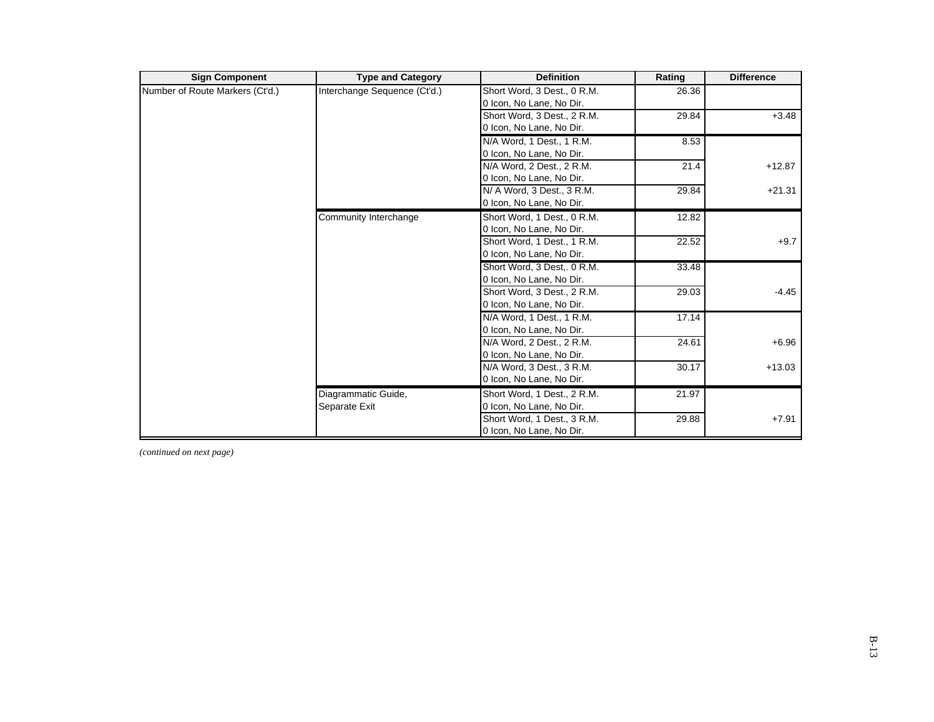| <b>Sign Component</b>           | <b>Type and Category</b>     | <b>Definition</b>           | Rating | <b>Difference</b> |
|---------------------------------|------------------------------|-----------------------------|--------|-------------------|
| Number of Route Markers (Ct'd.) | Interchange Sequence (Ct'd.) | Short Word, 3 Dest., 0 R.M. | 26.36  |                   |
|                                 |                              | 0 Icon, No Lane, No Dir.    |        |                   |
|                                 |                              | Short Word, 3 Dest., 2 R.M. | 29.84  | $+3.48$           |
|                                 |                              | 0 Icon, No Lane, No Dir.    |        |                   |
|                                 |                              | N/A Word, 1 Dest., 1 R.M.   | 8.53   |                   |
|                                 |                              | 0 Icon, No Lane, No Dir.    |        |                   |
|                                 |                              | N/A Word, 2 Dest., 2 R.M.   | 21.4   | $+12.87$          |
|                                 |                              | 0 Icon, No Lane, No Dir.    |        |                   |
|                                 |                              | N/ A Word, 3 Dest., 3 R.M.  | 29.84  | $+21.31$          |
|                                 |                              | 0 Icon, No Lane, No Dir.    |        |                   |
|                                 | Community Interchange        | Short Word, 1 Dest., 0 R.M. | 12.82  |                   |
|                                 |                              | 0 Icon, No Lane, No Dir.    |        |                   |
|                                 |                              | Short Word, 1 Dest., 1 R.M. | 22.52  | $+9.7$            |
|                                 |                              | 0 Icon, No Lane, No Dir.    |        |                   |
|                                 |                              | Short Word, 3 Dest, 0 R.M.  | 33.48  |                   |
|                                 |                              | 0 Icon, No Lane, No Dir.    |        |                   |
|                                 |                              | Short Word, 3 Dest., 2 R.M. | 29.03  | $-4.45$           |
|                                 |                              | 0 Icon, No Lane, No Dir.    |        |                   |
|                                 |                              | N/A Word, 1 Dest., 1 R.M.   | 17.14  |                   |
|                                 |                              | 0 Icon, No Lane, No Dir.    |        |                   |
|                                 |                              | N/A Word, 2 Dest., 2 R.M.   | 24.61  | $+6.96$           |
|                                 |                              | 0 Icon, No Lane, No Dir.    |        |                   |
|                                 |                              | N/A Word, 3 Dest., 3 R.M.   | 30.17  | $+13.03$          |
|                                 |                              | 0 Icon, No Lane, No Dir.    |        |                   |
|                                 | Diagrammatic Guide,          | Short Word, 1 Dest., 2 R.M. | 21.97  |                   |
|                                 | Separate Exit                | 0 Icon, No Lane, No Dir.    |        |                   |
|                                 |                              | Short Word, 1 Dest., 3 R.M. | 29.88  | $+7.91$           |
|                                 |                              | 0 Icon, No Lane, No Dir.    |        |                   |

*(continued on next page)*